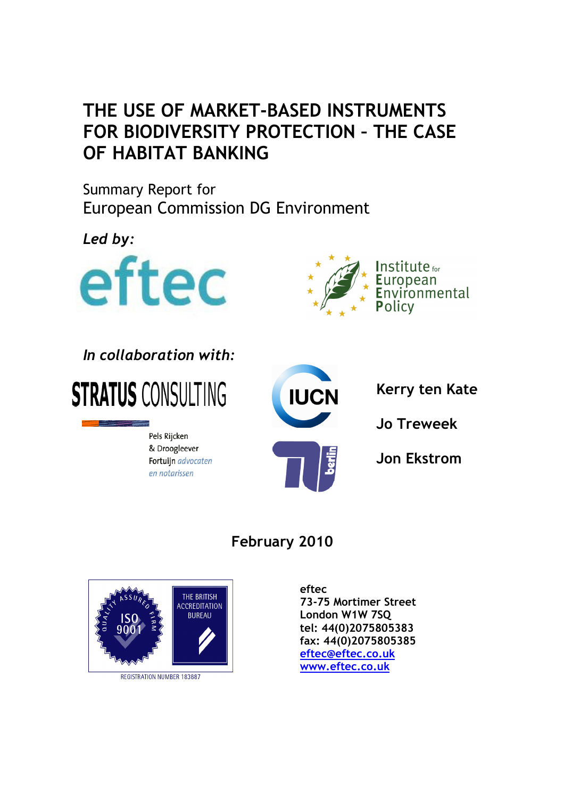# THE USE OF MARKET-BASED INSTRUMENTS FOR BIODIVERSITY PROTECTION – THE CASE OF HABITAT BANKING

Summary Report for European Commission DG Environment

Led by:





# In collaboration with:



Pels Rijcken & Droogleever Fortuijn advocaten en notarissen



Kerry ten Kate

Jo Treweek

Jon Ekstrom

## February 2010



**REGISTRATION NUMBER 183887** 

eftec 73-75 Mortimer Street London W1W 7SQ tel: 44(0)2075805383 fax: 44(0)2075805385 eftec@eftec.co.uk www.eftec.co.uk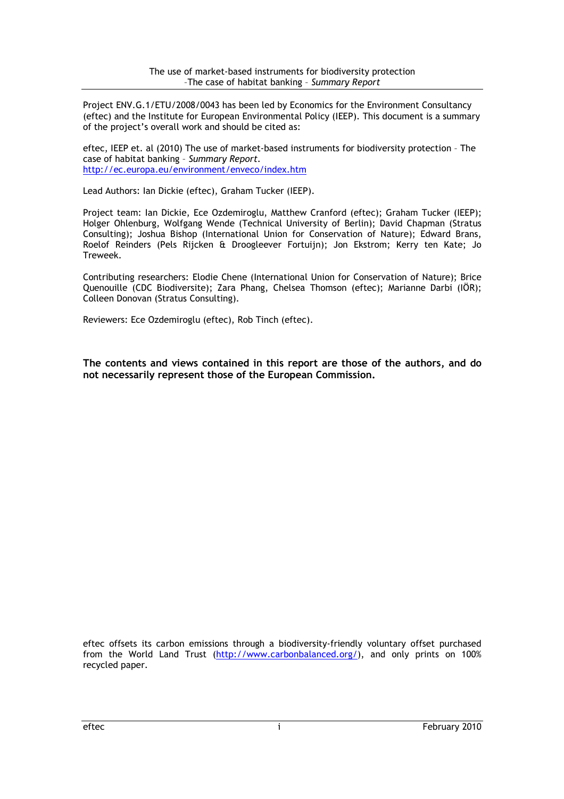Project ENV.G.1/ETU/2008/0043 has been led by Economics for the Environment Consultancy (eftec) and the Institute for European Environmental Policy (IEEP). This document is a summary of the project's overall work and should be cited as:

eftec, IEEP et. al (2010) The use of market-based instruments for biodiversity protection – The case of habitat banking – Summary Report. http://ec.europa.eu/environment/enveco/index.htm

Lead Authors: Ian Dickie (eftec), Graham Tucker (IEEP).

Project team: Ian Dickie, Ece Ozdemiroglu, Matthew Cranford (eftec); Graham Tucker (IEEP); Holger Ohlenburg, Wolfgang Wende (Technical University of Berlin); David Chapman (Stratus Consulting); Joshua Bishop (International Union for Conservation of Nature); Edward Brans, Roelof Reinders (Pels Rijcken & Droogleever Fortuijn); Jon Ekstrom; Kerry ten Kate; Jo Treweek.

Contributing researchers: Elodie Chene (International Union for Conservation of Nature); Brice Quenouille (CDC Biodiversite); Zara Phang, Chelsea Thomson (eftec); Marianne Darbi (IÖR); Colleen Donovan (Stratus Consulting).

Reviewers: Ece Ozdemiroglu (eftec), Rob Tinch (eftec).

The contents and views contained in this report are those of the authors, and do not necessarily represent those of the European Commission.

eftec offsets its carbon emissions through a biodiversity-friendly voluntary offset purchased from the World Land Trust (http://www.carbonbalanced.org/), and only prints on 100% recycled paper.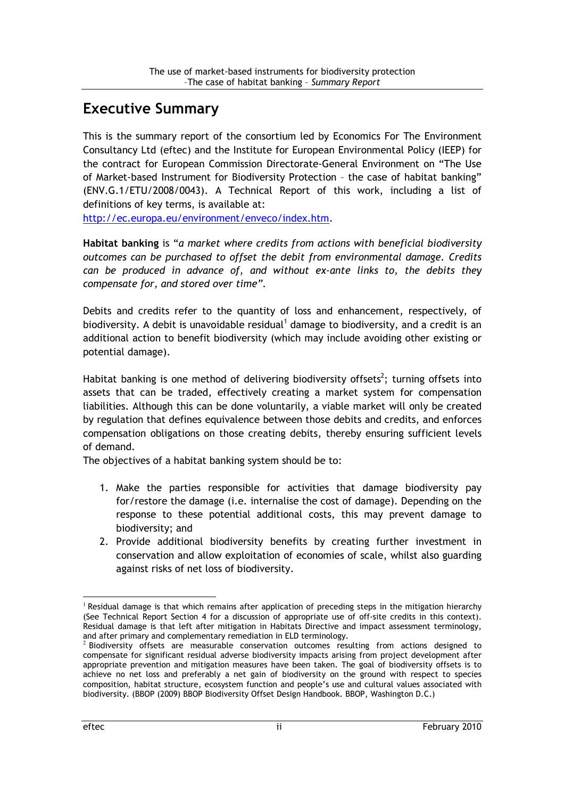## Executive Summary

This is the summary report of the consortium led by Economics For The Environment Consultancy Ltd (eftec) and the Institute for European Environmental Policy (IEEP) for the contract for European Commission Directorate-General Environment on "The Use of Market-based Instrument for Biodiversity Protection – the case of habitat banking" (ENV.G.1/ETU/2008/0043). A Technical Report of this work, including a list of definitions of key terms, is available at:

http://ec.europa.eu/environment/enveco/index.htm.

Habitat banking is "a market where credits from actions with beneficial biodiversity outcomes can be purchased to offset the debit from environmental damage. Credits can be produced in advance of, and without ex-ante links to, the debits they compensate for, and stored over time".

Debits and credits refer to the quantity of loss and enhancement, respectively, of biodiversity. A debit is unavoidable residual<sup>1</sup> damage to biodiversity, and a credit is an additional action to benefit biodiversity (which may include avoiding other existing or potential damage).

Habitat banking is one method of delivering biodiversity offsets<sup>2</sup>; turning offsets into assets that can be traded, effectively creating a market system for compensation liabilities. Although this can be done voluntarily, a viable market will only be created by regulation that defines equivalence between those debits and credits, and enforces compensation obligations on those creating debits, thereby ensuring sufficient levels of demand.

The objectives of a habitat banking system should be to:

- 1. Make the parties responsible for activities that damage biodiversity pay for/restore the damage (i.e. internalise the cost of damage). Depending on the response to these potential additional costs, this may prevent damage to biodiversity; and
- 2. Provide additional biodiversity benefits by creating further investment in conservation and allow exploitation of economies of scale, whilst also guarding against risks of net loss of biodiversity.

<sup>&</sup>lt;sup>1</sup> Residual damage is that which remains after application of preceding steps in the mitigation hierarchy (See Technical Report Section 4 for a discussion of appropriate use of off-site credits in this context). Residual damage is that left after mitigation in Habitats Directive and impact assessment terminology,

and after primary and complementary remediation in ELD terminology.<br><sup>2</sup> Biodiversity offsets are measurable conservation outcomes resulting from actions designed to compensate for significant residual adverse biodiversity impacts arising from project development after appropriate prevention and mitigation measures have been taken. The goal of biodiversity offsets is to achieve no net loss and preferably a net gain of biodiversity on the ground with respect to species composition, habitat structure, ecosystem function and people's use and cultural values associated with biodiversity. (BBOP (2009) BBOP Biodiversity Offset Design Handbook. BBOP, Washington D.C.)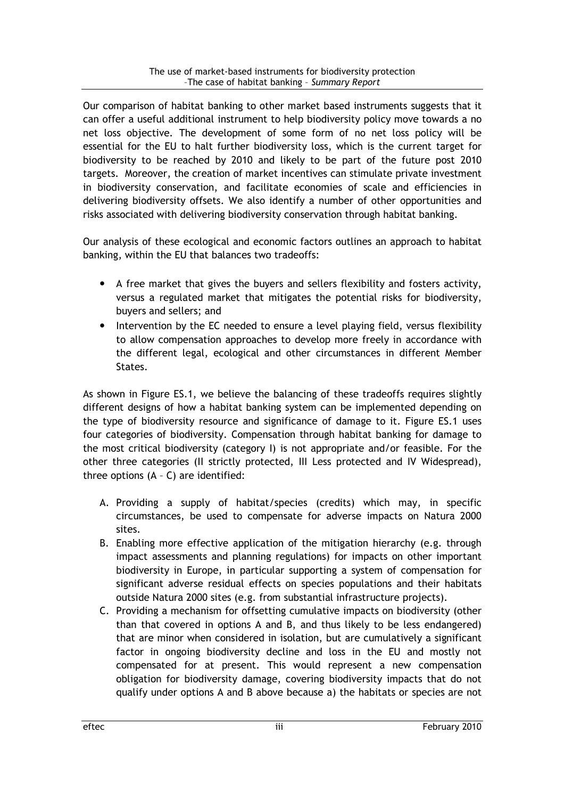Our comparison of habitat banking to other market based instruments suggests that it can offer a useful additional instrument to help biodiversity policy move towards a no net loss objective. The development of some form of no net loss policy will be essential for the EU to halt further biodiversity loss, which is the current target for biodiversity to be reached by 2010 and likely to be part of the future post 2010 targets. Moreover, the creation of market incentives can stimulate private investment in biodiversity conservation, and facilitate economies of scale and efficiencies in delivering biodiversity offsets. We also identify a number of other opportunities and risks associated with delivering biodiversity conservation through habitat banking.

Our analysis of these ecological and economic factors outlines an approach to habitat banking, within the EU that balances two tradeoffs:

- A free market that gives the buyers and sellers flexibility and fosters activity, versus a regulated market that mitigates the potential risks for biodiversity, buyers and sellers; and
- Intervention by the EC needed to ensure a level playing field, versus flexibility to allow compensation approaches to develop more freely in accordance with the different legal, ecological and other circumstances in different Member States.

As shown in Figure ES.1, we believe the balancing of these tradeoffs requires slightly different designs of how a habitat banking system can be implemented depending on the type of biodiversity resource and significance of damage to it. Figure ES.1 uses four categories of biodiversity. Compensation through habitat banking for damage to the most critical biodiversity (category I) is not appropriate and/or feasible. For the other three categories (II strictly protected, III Less protected and IV Widespread), three options (A – C) are identified:

- A. Providing a supply of habitat/species (credits) which may, in specific circumstances, be used to compensate for adverse impacts on Natura 2000 sites.
- B. Enabling more effective application of the mitigation hierarchy (e.g. through impact assessments and planning regulations) for impacts on other important biodiversity in Europe, in particular supporting a system of compensation for significant adverse residual effects on species populations and their habitats outside Natura 2000 sites (e.g. from substantial infrastructure projects).
- C. Providing a mechanism for offsetting cumulative impacts on biodiversity (other than that covered in options A and B, and thus likely to be less endangered) that are minor when considered in isolation, but are cumulatively a significant factor in ongoing biodiversity decline and loss in the EU and mostly not compensated for at present. This would represent a new compensation obligation for biodiversity damage, covering biodiversity impacts that do not qualify under options A and B above because a) the habitats or species are not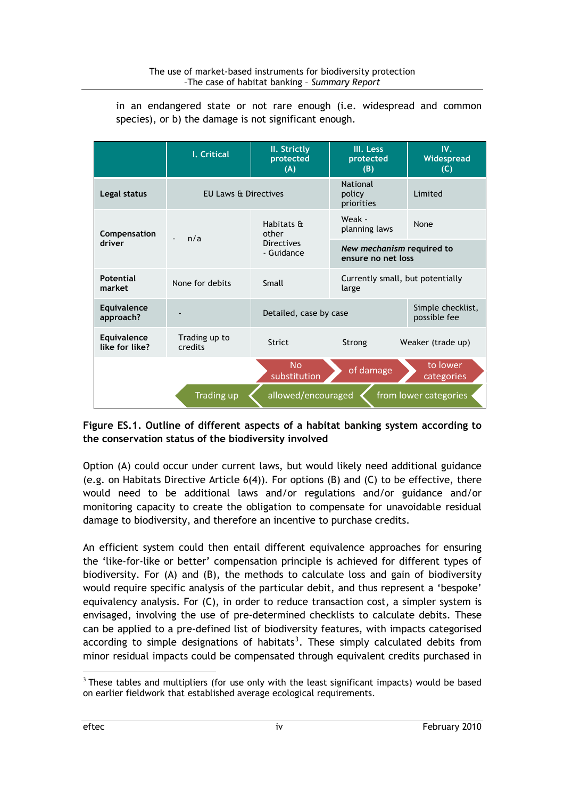|                                                           | I. Critical              | II. Strictly<br>protected<br>(A)                       | III. Less<br>protected<br>(B)                   | $W_{\star}$<br>Widespread<br>(C)  |  |
|-----------------------------------------------------------|--------------------------|--------------------------------------------------------|-------------------------------------------------|-----------------------------------|--|
| Legal status                                              | EU Laws & Directives     |                                                        | <b>National</b><br>policy<br>priorities         | Limited                           |  |
| Compensation<br>driver                                    | n/a                      | Habitats &<br>other<br><b>Directives</b><br>- Guidance | Weak -<br>planning laws                         | None                              |  |
|                                                           |                          |                                                        | New mechanism required to<br>ensure no net loss |                                   |  |
| Potential<br>market                                       | None for debits          | Small                                                  | Currently small, but potentially<br>large       |                                   |  |
| Equivalence<br>approach?                                  |                          | Detailed, case by case                                 |                                                 | Simple checklist,<br>possible fee |  |
| Equivalence<br>like for like?                             | Trading up to<br>credits | <b>Strict</b>                                          | Strong                                          | Weaker (trade up)                 |  |
|                                                           |                          | <b>No</b><br>substitution                              | of damage                                       | to lower<br>categories            |  |
| allowed/encouraged<br>Trading up<br>from lower categories |                          |                                                        |                                                 |                                   |  |

in an endangered state or not rare enough (i.e. widespread and common species), or b) the damage is not significant enough.

#### Figure ES.1. Outline of different aspects of a habitat banking system according to the conservation status of the biodiversity involved

Option (A) could occur under current laws, but would likely need additional guidance (e.g. on Habitats Directive Article 6(4)). For options (B) and (C) to be effective, there would need to be additional laws and/or regulations and/or guidance and/or monitoring capacity to create the obligation to compensate for unavoidable residual damage to biodiversity, and therefore an incentive to purchase credits.

An efficient system could then entail different equivalence approaches for ensuring the 'like-for-like or better' compensation principle is achieved for different types of biodiversity. For (A) and (B), the methods to calculate loss and gain of biodiversity would require specific analysis of the particular debit, and thus represent a 'bespoke' equivalency analysis. For (C), in order to reduce transaction cost, a simpler system is envisaged, involving the use of pre-determined checklists to calculate debits. These can be applied to a pre-defined list of biodiversity features, with impacts categorised according to simple designations of habitats<sup>3</sup>. These simply calculated debits from minor residual impacts could be compensated through equivalent credits purchased in

 $3$  These tables and multipliers (for use only with the least significant impacts) would be based on earlier fieldwork that established average ecological requirements.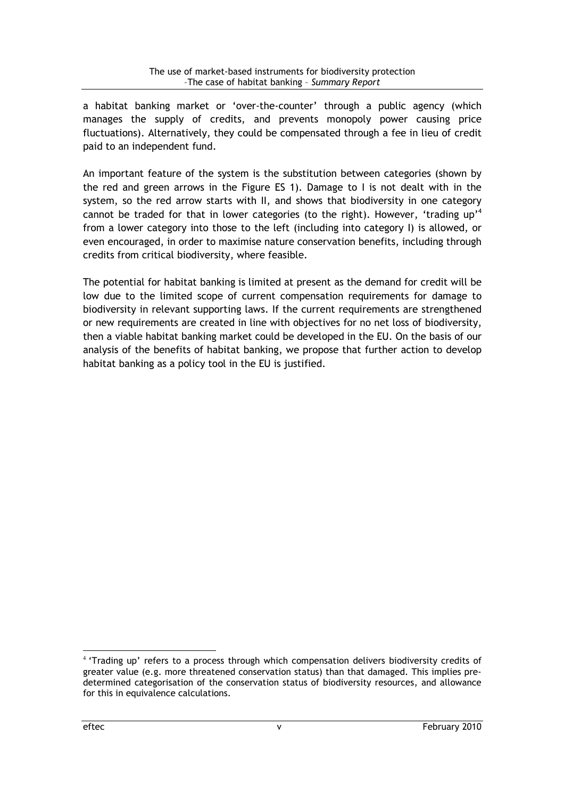a habitat banking market or 'over-the-counter' through a public agency (which manages the supply of credits, and prevents monopoly power causing price fluctuations). Alternatively, they could be compensated through a fee in lieu of credit paid to an independent fund.

An important feature of the system is the substitution between categories (shown by the red and green arrows in the Figure ES 1). Damage to I is not dealt with in the system, so the red arrow starts with II, and shows that biodiversity in one category cannot be traded for that in lower categories (to the right). However, 'trading up'<sup>4</sup> from a lower category into those to the left (including into category I) is allowed, or even encouraged, in order to maximise nature conservation benefits, including through credits from critical biodiversity, where feasible.

The potential for habitat banking is limited at present as the demand for credit will be low due to the limited scope of current compensation requirements for damage to biodiversity in relevant supporting laws. If the current requirements are strengthened or new requirements are created in line with objectives for no net loss of biodiversity, then a viable habitat banking market could be developed in the EU. On the basis of our analysis of the benefits of habitat banking, we propose that further action to develop habitat banking as a policy tool in the EU is justified.

<sup>&</sup>lt;sup>4</sup> 'Trading up' refers to a process through which compensation delivers biodiversity credits of greater value (e.g. more threatened conservation status) than that damaged. This implies predetermined categorisation of the conservation status of biodiversity resources, and allowance for this in equivalence calculations.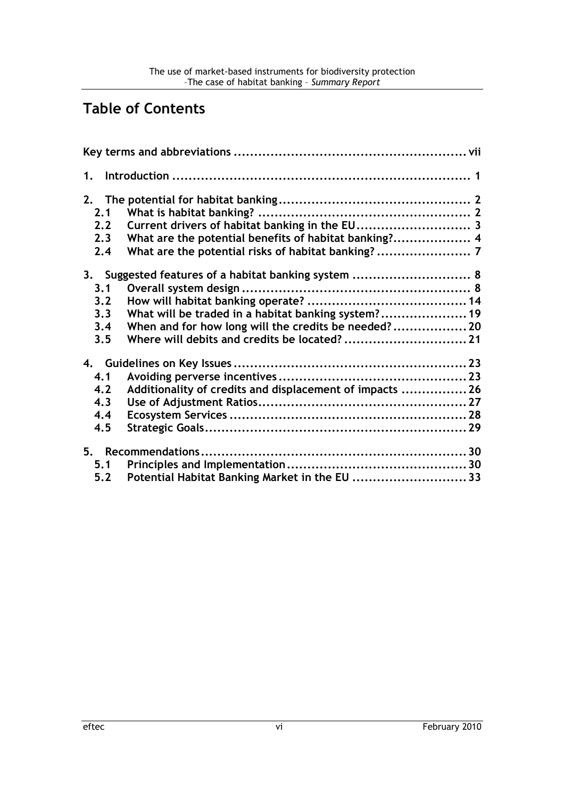## Table of Contents

| 1.    |                                                          |  |
|-------|----------------------------------------------------------|--|
| 2.1   |                                                          |  |
| 2.2   |                                                          |  |
| 2.3   |                                                          |  |
| 2.4   |                                                          |  |
| 3.    | Suggested features of a habitat banking system  8        |  |
| 3.1   |                                                          |  |
| 3.2   |                                                          |  |
| 3.3   | What will be traded in a habitat banking system? 19      |  |
| 3.4   | When and for how long will the credits be needed? 20     |  |
| 3.5   | Where will debits and credits be located? 21             |  |
|       |                                                          |  |
| 4.1   |                                                          |  |
| 4.2   | Additionality of credits and displacement of impacts  26 |  |
| 4.3   |                                                          |  |
| 4.4   |                                                          |  |
| 4.5   |                                                          |  |
|       |                                                          |  |
| 5.1   |                                                          |  |
| $5.2$ | Potential Habitat Banking Market in the EU 33            |  |
|       |                                                          |  |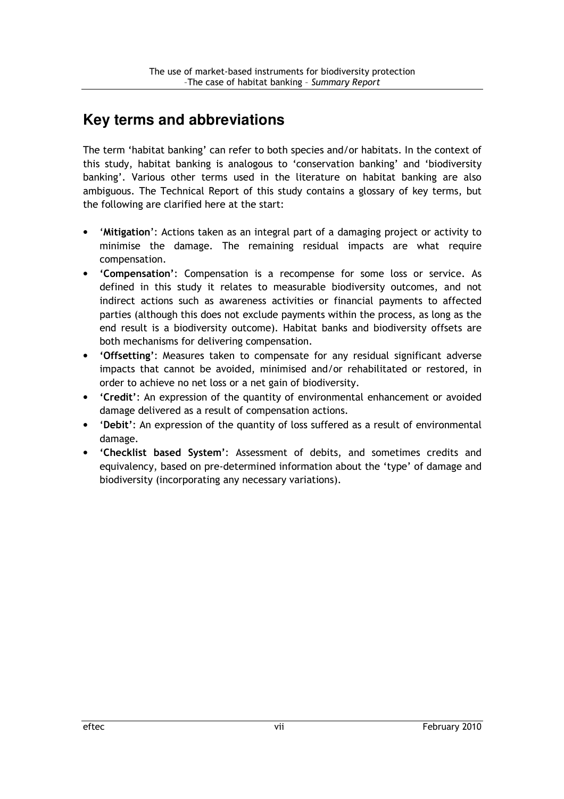## **Key terms and abbreviations**

The term 'habitat banking' can refer to both species and/or habitats. In the context of this study, habitat banking is analogous to 'conservation banking' and 'biodiversity banking'. Various other terms used in the literature on habitat banking are also ambiguous. The Technical Report of this study contains a glossary of key terms, but the following are clarified here at the start:

- 'Mitigation': Actions taken as an integral part of a damaging project or activity to minimise the damage. The remaining residual impacts are what require compensation.
- 'Compensation': Compensation is a recompense for some loss or service. As defined in this study it relates to measurable biodiversity outcomes, and not indirect actions such as awareness activities or financial payments to affected parties (although this does not exclude payments within the process, as long as the end result is a biodiversity outcome). Habitat banks and biodiversity offsets are both mechanisms for delivering compensation.
- 'Offsetting': Measures taken to compensate for any residual significant adverse impacts that cannot be avoided, minimised and/or rehabilitated or restored, in order to achieve no net loss or a net gain of biodiversity.
- 'Credit': An expression of the quantity of environmental enhancement or avoided damage delivered as a result of compensation actions.
- 'Debit': An expression of the quantity of loss suffered as a result of environmental damage.
- 'Checklist based System': Assessment of debits, and sometimes credits and equivalency, based on pre-determined information about the 'type' of damage and biodiversity (incorporating any necessary variations).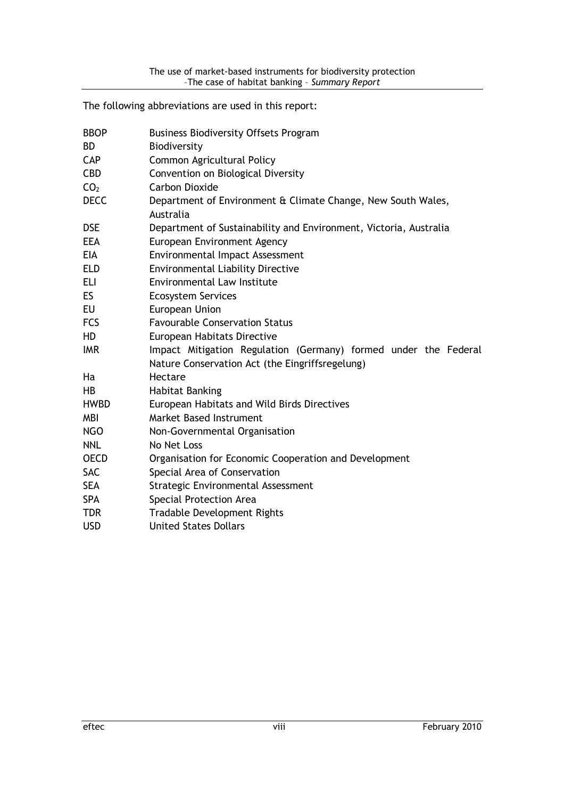The following abbreviations are used in this report:

| <b>BBOP</b><br><b>BD</b><br><b>CAP</b><br><b>CBD</b><br>CO <sub>2</sub><br><b>DECC</b> | <b>Business Biodiversity Offsets Program</b><br>Biodiversity<br>Common Agricultural Policy<br>Convention on Biological Diversity<br><b>Carbon Dioxide</b><br>Department of Environment & Climate Change, New South Wales,<br>Australia |
|----------------------------------------------------------------------------------------|----------------------------------------------------------------------------------------------------------------------------------------------------------------------------------------------------------------------------------------|
| <b>DSE</b>                                                                             | Department of Sustainability and Environment, Victoria, Australia                                                                                                                                                                      |
| <b>EEA</b>                                                                             | European Environment Agency                                                                                                                                                                                                            |
| <b>EIA</b>                                                                             | Environmental Impact Assessment                                                                                                                                                                                                        |
| <b>ELD</b>                                                                             | <b>Environmental Liability Directive</b>                                                                                                                                                                                               |
| <b>ELI</b>                                                                             | <b>Environmental Law Institute</b>                                                                                                                                                                                                     |
| ES.                                                                                    | <b>Ecosystem Services</b>                                                                                                                                                                                                              |
| EU                                                                                     | European Union                                                                                                                                                                                                                         |
| <b>FCS</b>                                                                             | <b>Favourable Conservation Status</b>                                                                                                                                                                                                  |
| HD                                                                                     | European Habitats Directive                                                                                                                                                                                                            |
| <b>IMR</b>                                                                             | Impact Mitigation Regulation (Germany) formed under the Federal<br>Nature Conservation Act (the Eingriffsregelung)                                                                                                                     |
| Ha                                                                                     | Hectare                                                                                                                                                                                                                                |
| <b>HB</b>                                                                              | <b>Habitat Banking</b>                                                                                                                                                                                                                 |
| <b>HWBD</b>                                                                            | European Habitats and Wild Birds Directives                                                                                                                                                                                            |
| <b>MBI</b>                                                                             | <b>Market Based Instrument</b>                                                                                                                                                                                                         |
| <b>NGO</b>                                                                             | Non-Governmental Organisation                                                                                                                                                                                                          |
| <b>NNL</b>                                                                             | No Net Loss                                                                                                                                                                                                                            |
| <b>OECD</b>                                                                            | Organisation for Economic Cooperation and Development                                                                                                                                                                                  |
| <b>SAC</b>                                                                             | Special Area of Conservation                                                                                                                                                                                                           |
| <b>SEA</b>                                                                             | Strategic Environmental Assessment                                                                                                                                                                                                     |
| <b>SPA</b>                                                                             | Special Protection Area                                                                                                                                                                                                                |
| <b>TDR</b>                                                                             | <b>Tradable Development Rights</b>                                                                                                                                                                                                     |
| <b>USD</b>                                                                             | <b>United States Dollars</b>                                                                                                                                                                                                           |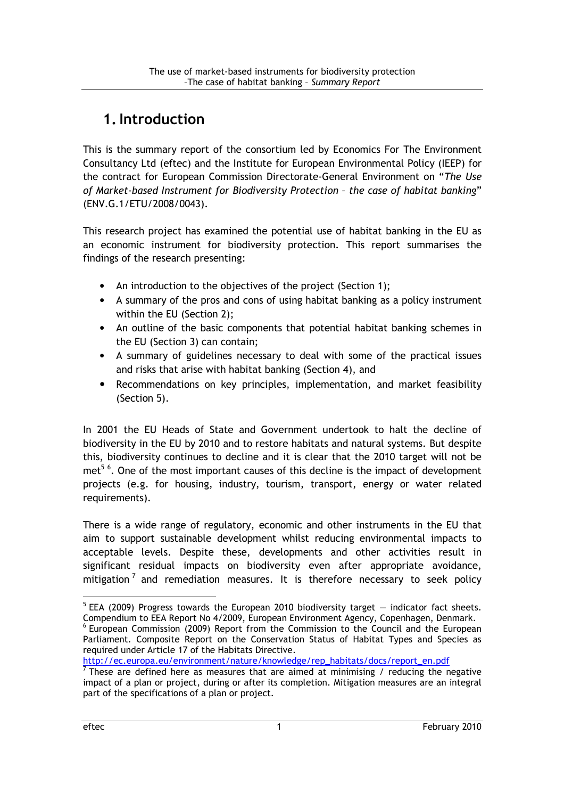## 1.Introduction

This is the summary report of the consortium led by Economics For The Environment Consultancy Ltd (eftec) and the Institute for European Environmental Policy (IEEP) for the contract for European Commission Directorate-General Environment on "The Use of Market-based Instrument for Biodiversity Protection – the case of habitat banking" (ENV.G.1/ETU/2008/0043).

This research project has examined the potential use of habitat banking in the EU as an economic instrument for biodiversity protection. This report summarises the findings of the research presenting:

- An introduction to the objectives of the project (Section 1);
- A summary of the pros and cons of using habitat banking as a policy instrument within the EU (Section 2);
- An outline of the basic components that potential habitat banking schemes in the EU (Section 3) can contain;
- A summary of guidelines necessary to deal with some of the practical issues and risks that arise with habitat banking (Section 4), and
- Recommendations on key principles, implementation, and market feasibility (Section 5).

In 2001 the EU Heads of State and Government undertook to halt the decline of biodiversity in the EU by 2010 and to restore habitats and natural systems. But despite this, biodiversity continues to decline and it is clear that the 2010 target will not be met<sup>56</sup>. One of the most important causes of this decline is the impact of development projects (e.g. for housing, industry, tourism, transport, energy or water related requirements).

There is a wide range of regulatory, economic and other instruments in the EU that aim to support sustainable development whilst reducing environmental impacts to acceptable levels. Despite these, developments and other activities result in significant residual impacts on biodiversity even after appropriate avoidance, mitigation<sup>7</sup> and remediation measures. It is therefore necessary to seek policy

 $5$  EEA (2009) Progress towards the European 2010 biodiversity target  $-$  indicator fact sheets. Compendium to EEA Report No 4/2009, European Environment Agency, Copenhagen, Denmark. <sup>6</sup> European Commission (2009) Report from the Commission to the Council and the European

Parliament. Composite Report on the Conservation Status of Habitat Types and Species as required under Article 17 of the Habitats Directive.

http://ec.europa.eu/environment/nature/knowledge/rep\_habitats/docs/report\_en.pdf<br><sup>7</sup> These are defined here as measures that are aimed at minimising / reducing the negative impact of a plan or project, during or after its completion. Mitigation measures are an integral part of the specifications of a plan or project.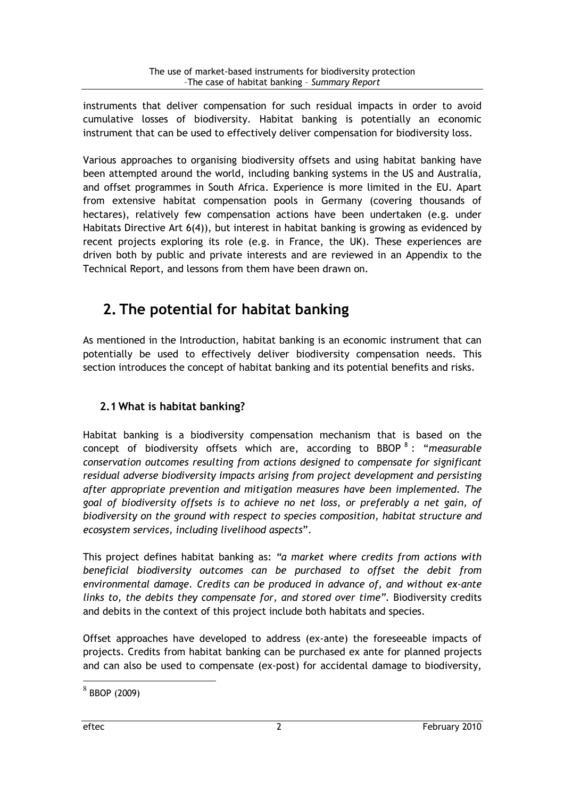instruments that deliver compensation for such residual impacts in order to avoid cumulative losses of biodiversity. Habitat banking is potentially an economic instrument that can be used to effectively deliver compensation for biodiversity loss.

Various approaches to organising biodiversity offsets and using habitat banking have been attempted around the world, including banking systems in the US and Australia, and offset programmes in South Africa. Experience is more limited in the EU. Apart from extensive habitat compensation pools in Germany (covering thousands of hectares), relatively few compensation actions have been undertaken (e.g. under Habitats Directive Art 6(4)), but interest in habitat banking is growing as evidenced by recent projects exploring its role (e.g. in France, the UK). These experiences are driven both by public and private interests and are reviewed in an Appendix to the Technical Report, and lessons from them have been drawn on.

## 2. The potential for habitat banking

As mentioned in the Introduction, habitat banking is an economic instrument that can potentially be used to effectively deliver biodiversity compensation needs. This section introduces the concept of habitat banking and its potential benefits and risks.

## 2.1 What is habitat banking?

Habitat banking is a biodiversity compensation mechanism that is based on the concept of biodiversity offsets which are, according to BBOP<sup>8</sup>: "measurable conservation outcomes resulting from actions designed to compensate for significant residual adverse biodiversity impacts arising from project development and persisting after appropriate prevention and mitigation measures have been implemented. The goal of biodiversity offsets is to achieve no net loss, or preferably a net gain, of biodiversity on the ground with respect to species composition, habitat structure and ecosystem services, including livelihood aspects".

This project defines habitat banking as: "a market where credits from actions with beneficial biodiversity outcomes can be purchased to offset the debit from environmental damage. Credits can be produced in advance of, and without ex-ante links to, the debits they compensate for, and stored over time". Biodiversity credits and debits in the context of this project include both habitats and species.

Offset approaches have developed to address (ex-ante) the foreseeable impacts of projects. Credits from habitat banking can be purchased ex ante for planned projects and can also be used to compensate (ex-post) for accidental damage to biodiversity,

 $8$  BBOP (2009)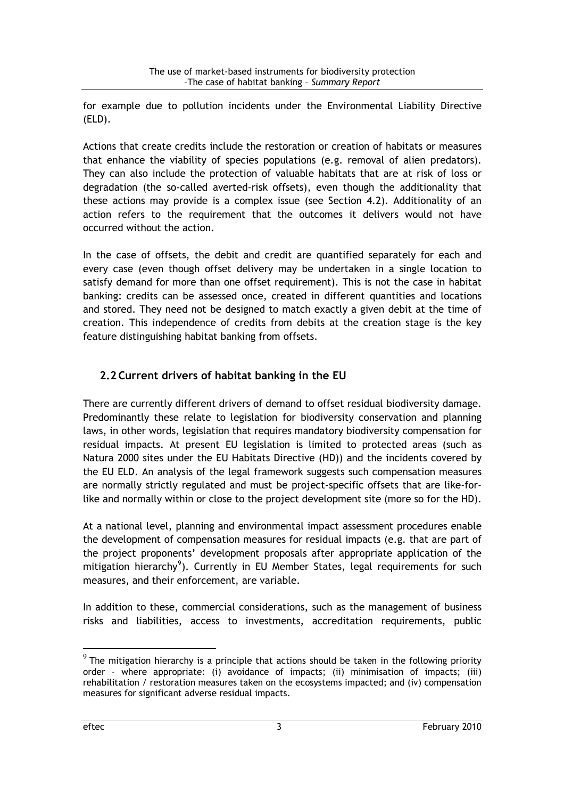for example due to pollution incidents under the Environmental Liability Directive (ELD).

Actions that create credits include the restoration or creation of habitats or measures that enhance the viability of species populations (e.g. removal of alien predators). They can also include the protection of valuable habitats that are at risk of loss or degradation (the so-called averted-risk offsets), even though the additionality that these actions may provide is a complex issue (see Section 4.2). Additionality of an action refers to the requirement that the outcomes it delivers would not have occurred without the action.

In the case of offsets, the debit and credit are quantified separately for each and every case (even though offset delivery may be undertaken in a single location to satisfy demand for more than one offset requirement). This is not the case in habitat banking: credits can be assessed once, created in different quantities and locations and stored. They need not be designed to match exactly a given debit at the time of creation. This independence of credits from debits at the creation stage is the key feature distinguishing habitat banking from offsets.

## 2.2 Current drivers of habitat banking in the EU

There are currently different drivers of demand to offset residual biodiversity damage. Predominantly these relate to legislation for biodiversity conservation and planning laws, in other words, legislation that requires mandatory biodiversity compensation for residual impacts. At present EU legislation is limited to protected areas (such as Natura 2000 sites under the EU Habitats Directive (HD)) and the incidents covered by the EU ELD. An analysis of the legal framework suggests such compensation measures are normally strictly regulated and must be project-specific offsets that are like-forlike and normally within or close to the project development site (more so for the HD).

At a national level, planning and environmental impact assessment procedures enable the development of compensation measures for residual impacts (e.g. that are part of the project proponents' development proposals after appropriate application of the mitigation hierarchy<sup>9</sup>). Currently in EU Member States, legal requirements for such measures, and their enforcement, are variable.

In addition to these, commercial considerations, such as the management of business risks and liabilities, access to investments, accreditation requirements, public

 $^9$  The mitigation hierarchy is a principle that actions should be taken in the following priority order – where appropriate: (i) avoidance of impacts; (ii) minimisation of impacts; (iii) rehabilitation / restoration measures taken on the ecosystems impacted; and (iv) compensation measures for significant adverse residual impacts.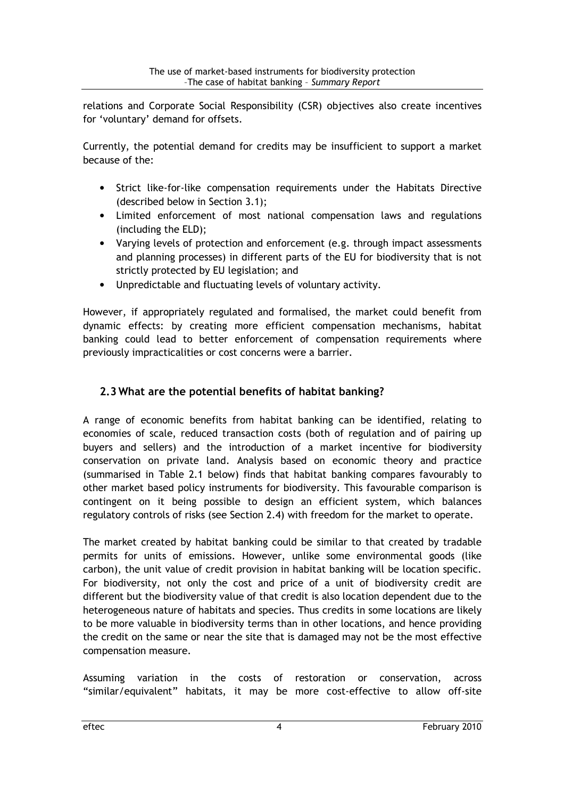relations and Corporate Social Responsibility (CSR) objectives also create incentives for 'voluntary' demand for offsets.

Currently, the potential demand for credits may be insufficient to support a market because of the:

- Strict like-for-like compensation requirements under the Habitats Directive (described below in Section 3.1);
- Limited enforcement of most national compensation laws and regulations (including the ELD);
- Varying levels of protection and enforcement (e.g. through impact assessments and planning processes) in different parts of the EU for biodiversity that is not strictly protected by EU legislation; and
- Unpredictable and fluctuating levels of voluntary activity.

However, if appropriately regulated and formalised, the market could benefit from dynamic effects: by creating more efficient compensation mechanisms, habitat banking could lead to better enforcement of compensation requirements where previously impracticalities or cost concerns were a barrier.

## 2.3 What are the potential benefits of habitat banking?

A range of economic benefits from habitat banking can be identified, relating to economies of scale, reduced transaction costs (both of regulation and of pairing up buyers and sellers) and the introduction of a market incentive for biodiversity conservation on private land. Analysis based on economic theory and practice (summarised in Table 2.1 below) finds that habitat banking compares favourably to other market based policy instruments for biodiversity. This favourable comparison is contingent on it being possible to design an efficient system, which balances regulatory controls of risks (see Section 2.4) with freedom for the market to operate.

The market created by habitat banking could be similar to that created by tradable permits for units of emissions. However, unlike some environmental goods (like carbon), the unit value of credit provision in habitat banking will be location specific. For biodiversity, not only the cost and price of a unit of biodiversity credit are different but the biodiversity value of that credit is also location dependent due to the heterogeneous nature of habitats and species. Thus credits in some locations are likely to be more valuable in biodiversity terms than in other locations, and hence providing the credit on the same or near the site that is damaged may not be the most effective compensation measure.

Assuming variation in the costs of restoration or conservation, across "similar/equivalent" habitats, it may be more cost-effective to allow off-site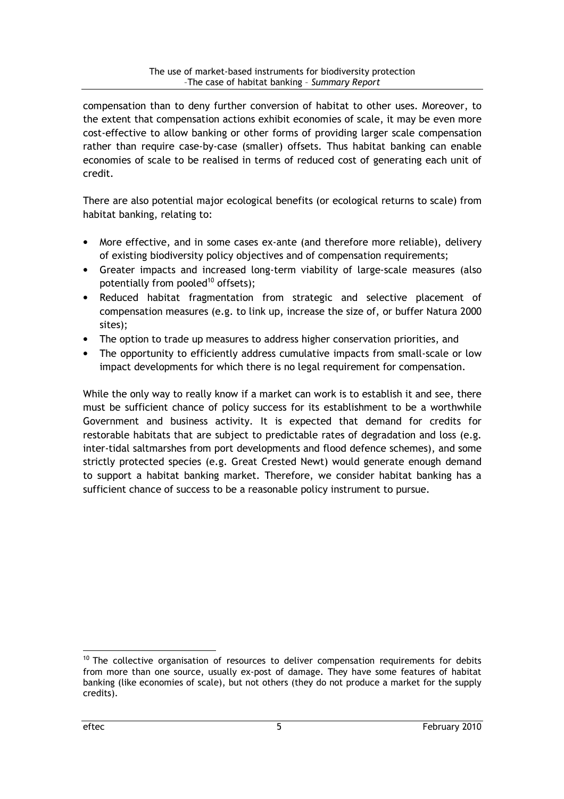compensation than to deny further conversion of habitat to other uses. Moreover, to the extent that compensation actions exhibit economies of scale, it may be even more cost-effective to allow banking or other forms of providing larger scale compensation rather than require case-by-case (smaller) offsets. Thus habitat banking can enable economies of scale to be realised in terms of reduced cost of generating each unit of credit.

There are also potential major ecological benefits (or ecological returns to scale) from habitat banking, relating to:

- More effective, and in some cases ex-ante (and therefore more reliable), delivery of existing biodiversity policy objectives and of compensation requirements;
- Greater impacts and increased long-term viability of large-scale measures (also potentially from pooled<sup>10</sup> offsets);
- Reduced habitat fragmentation from strategic and selective placement of compensation measures (e.g. to link up, increase the size of, or buffer Natura 2000 sites);
- The option to trade up measures to address higher conservation priorities, and
- The opportunity to efficiently address cumulative impacts from small-scale or low impact developments for which there is no legal requirement for compensation.

While the only way to really know if a market can work is to establish it and see, there must be sufficient chance of policy success for its establishment to be a worthwhile Government and business activity. It is expected that demand for credits for restorable habitats that are subject to predictable rates of degradation and loss (e.g. inter-tidal saltmarshes from port developments and flood defence schemes), and some strictly protected species (e.g. Great Crested Newt) would generate enough demand to support a habitat banking market. Therefore, we consider habitat banking has a sufficient chance of success to be a reasonable policy instrument to pursue.

 $10$  The collective organisation of resources to deliver compensation requirements for debits from more than one source, usually ex-post of damage. They have some features of habitat banking (like economies of scale), but not others (they do not produce a market for the supply credits).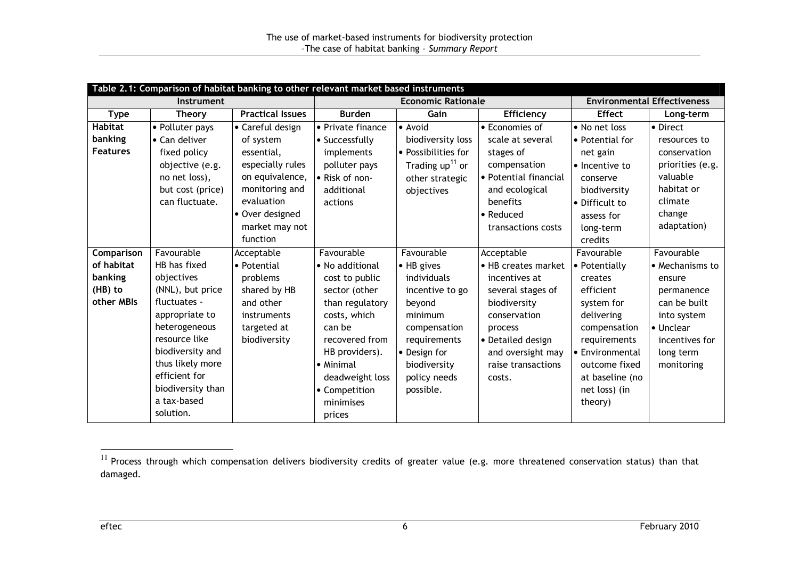| Table 2.1: Comparison of habitat banking to other relevant market based instruments |                   |                         |                           |                     |                                    |                       |                  |
|-------------------------------------------------------------------------------------|-------------------|-------------------------|---------------------------|---------------------|------------------------------------|-----------------------|------------------|
| Instrument                                                                          |                   |                         | <b>Economic Rationale</b> |                     | <b>Environmental Effectiveness</b> |                       |                  |
| <b>Type</b>                                                                         | <b>Theory</b>     | <b>Practical Issues</b> | <b>Burden</b>             | Gain                | Efficiency                         | <b>Effect</b>         | Long-term        |
| <b>Habitat</b>                                                                      | • Polluter pays   | • Careful design        | • Private finance         | • Avoid             | • Economies of                     | • No net loss         | • Direct         |
| banking                                                                             | • Can deliver     | of system               | • Successfully            | biodiversity loss   | scale at several                   | • Potential for       | resources to     |
| <b>Features</b>                                                                     | fixed policy      | essential,              | implements                | • Possibilities for | stages of                          | net gain              | conservation     |
|                                                                                     | objective (e.g.   | especially rules        | polluter pays             | Trading $up11$ or   | compensation                       | • Incentive to        | priorities (e.g. |
|                                                                                     | no net loss),     | on equivalence,         | • Risk of non-            | other strategic     | • Potential financial              | conserve              | valuable         |
|                                                                                     | but cost (price)  | monitoring and          | additional                | objectives          | and ecological                     | biodiversity          | habitat or       |
|                                                                                     | can fluctuate.    | evaluation              | actions                   |                     | benefits                           | • Difficult to        | climate          |
|                                                                                     |                   | • Over designed         |                           |                     | $\bullet$ Reduced                  | assess for            | change           |
|                                                                                     |                   | market may not          |                           |                     | transactions costs                 | long-term             | adaptation)      |
|                                                                                     |                   | function                |                           |                     |                                    | credits               |                  |
| Comparison                                                                          | Favourable        | Acceptable              | Favourable                | Favourable          | Acceptable                         | Favourable            | Favourable       |
| of habitat                                                                          | HB has fixed      | • Potential             | • No additional           | • HB gives          | • HB creates market                | $\bullet$ Potentially | • Mechanisms to  |
| banking                                                                             | objectives        | problems                | cost to public            | individuals         | incentives at                      | creates               | ensure           |
| (HB) to                                                                             | (NNL), but price  | shared by HB            | sector (other             | incentive to go     | several stages of                  | efficient             | permanence       |
| other MBIs                                                                          | fluctuates -      | and other               | than regulatory           | beyond              | biodiversity                       | system for            | can be built     |
|                                                                                     | appropriate to    | instruments             | costs, which              | minimum             | conservation                       | delivering            | into system      |
|                                                                                     | heterogeneous     | targeted at             | can be                    | compensation        | process                            | compensation          | • Unclear        |
|                                                                                     | resource like     | biodiversity            | recovered from            | requirements        | • Detailed design                  | requirements          | incentives for   |
|                                                                                     | biodiversity and  |                         | HB providers).            | • Design for        | and oversight may                  | • Environmental       | long term        |
|                                                                                     | thus likely more  |                         | • Minimal                 | biodiversity        | raise transactions                 | outcome fixed         | monitoring       |
|                                                                                     | efficient for     |                         | deadweight loss           | policy needs        | costs.                             | at baseline (no       |                  |
|                                                                                     | biodiversity than |                         | • Competition             | possible.           |                                    | net loss) (in         |                  |
|                                                                                     | a tax-based       |                         | minimises                 |                     |                                    | theory)               |                  |
|                                                                                     | solution.         |                         | prices                    |                     |                                    |                       |                  |

 $^\text{11}$  Process through which compensation delivers biodiversity credits of greater value (e.g. more threatened conservation status) than that damaged.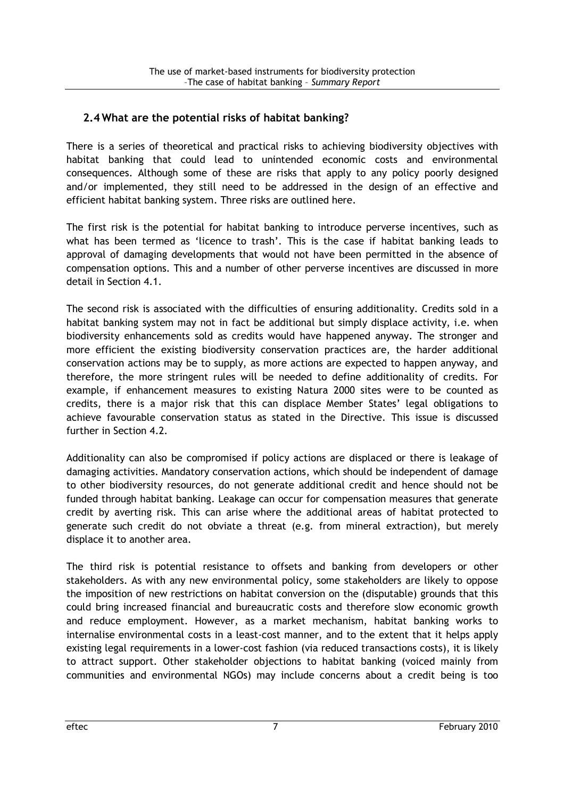## 2.4 What are the potential risks of habitat banking?

There is a series of theoretical and practical risks to achieving biodiversity objectives with habitat banking that could lead to unintended economic costs and environmental consequences. Although some of these are risks that apply to any policy poorly designed and/or implemented, they still need to be addressed in the design of an effective and efficient habitat banking system. Three risks are outlined here.

The first risk is the potential for habitat banking to introduce perverse incentives, such as what has been termed as 'licence to trash'. This is the case if habitat banking leads to approval of damaging developments that would not have been permitted in the absence of compensation options. This and a number of other perverse incentives are discussed in more detail in Section 4.1.

The second risk is associated with the difficulties of ensuring additionality. Credits sold in a habitat banking system may not in fact be additional but simply displace activity, i.e. when biodiversity enhancements sold as credits would have happened anyway. The stronger and more efficient the existing biodiversity conservation practices are, the harder additional conservation actions may be to supply, as more actions are expected to happen anyway, and therefore, the more stringent rules will be needed to define additionality of credits. For example, if enhancement measures to existing Natura 2000 sites were to be counted as credits, there is a major risk that this can displace Member States' legal obligations to achieve favourable conservation status as stated in the Directive. This issue is discussed further in Section 4.2.

Additionality can also be compromised if policy actions are displaced or there is leakage of damaging activities. Mandatory conservation actions, which should be independent of damage to other biodiversity resources, do not generate additional credit and hence should not be funded through habitat banking. Leakage can occur for compensation measures that generate credit by averting risk. This can arise where the additional areas of habitat protected to generate such credit do not obviate a threat (e.g. from mineral extraction), but merely displace it to another area.

The third risk is potential resistance to offsets and banking from developers or other stakeholders. As with any new environmental policy, some stakeholders are likely to oppose the imposition of new restrictions on habitat conversion on the (disputable) grounds that this could bring increased financial and bureaucratic costs and therefore slow economic growth and reduce employment. However, as a market mechanism, habitat banking works to internalise environmental costs in a least-cost manner, and to the extent that it helps apply existing legal requirements in a lower-cost fashion (via reduced transactions costs), it is likely to attract support. Other stakeholder objections to habitat banking (voiced mainly from communities and environmental NGOs) may include concerns about a credit being is too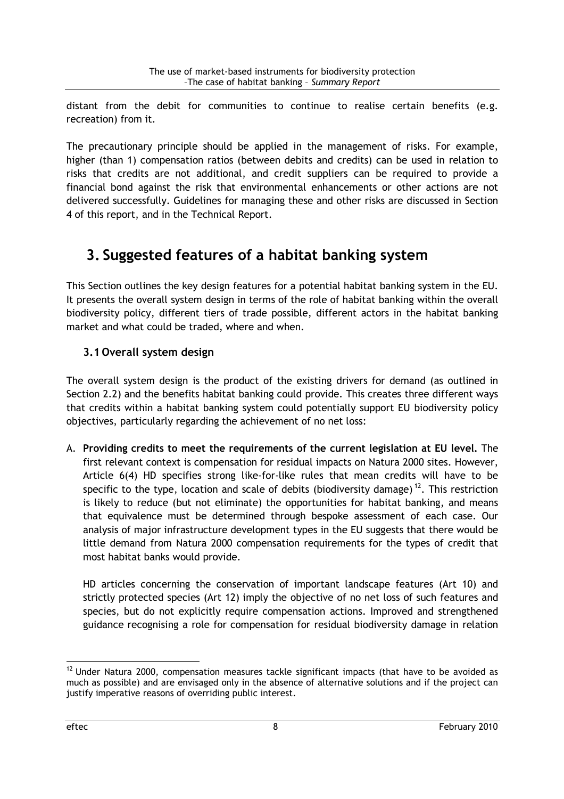distant from the debit for communities to continue to realise certain benefits (e.g. recreation) from it.

The precautionary principle should be applied in the management of risks. For example, higher (than 1) compensation ratios (between debits and credits) can be used in relation to risks that credits are not additional, and credit suppliers can be required to provide a financial bond against the risk that environmental enhancements or other actions are not delivered successfully. Guidelines for managing these and other risks are discussed in Section 4 of this report, and in the Technical Report.

## 3. Suggested features of a habitat banking system

This Section outlines the key design features for a potential habitat banking system in the EU. It presents the overall system design in terms of the role of habitat banking within the overall biodiversity policy, different tiers of trade possible, different actors in the habitat banking market and what could be traded, where and when.

## 3.1 Overall system design

The overall system design is the product of the existing drivers for demand (as outlined in Section 2.2) and the benefits habitat banking could provide. This creates three different ways that credits within a habitat banking system could potentially support EU biodiversity policy objectives, particularly regarding the achievement of no net loss:

A. Providing credits to meet the requirements of the current legislation at EU level. The first relevant context is compensation for residual impacts on Natura 2000 sites. However, Article 6(4) HD specifies strong like-for-like rules that mean credits will have to be specific to the type, location and scale of debits (biodiversity damage)<sup>12</sup>. This restriction is likely to reduce (but not eliminate) the opportunities for habitat banking, and means that equivalence must be determined through bespoke assessment of each case. Our analysis of major infrastructure development types in the EU suggests that there would be little demand from Natura 2000 compensation requirements for the types of credit that most habitat banks would provide.

HD articles concerning the conservation of important landscape features (Art 10) and strictly protected species (Art 12) imply the objective of no net loss of such features and species, but do not explicitly require compensation actions. Improved and strengthened guidance recognising a role for compensation for residual biodiversity damage in relation

<sup>&</sup>lt;sup>12</sup> Under Natura 2000, compensation measures tackle significant impacts (that have to be avoided as much as possible) and are envisaged only in the absence of alternative solutions and if the project can justify imperative reasons of overriding public interest.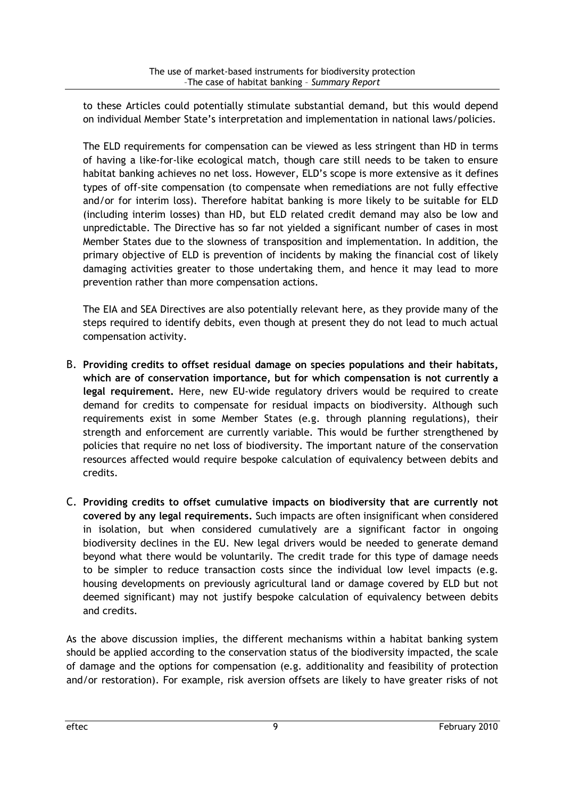to these Articles could potentially stimulate substantial demand, but this would depend on individual Member State's interpretation and implementation in national laws/policies.

The ELD requirements for compensation can be viewed as less stringent than HD in terms of having a like-for-like ecological match, though care still needs to be taken to ensure habitat banking achieves no net loss. However, ELD's scope is more extensive as it defines types of off-site compensation (to compensate when remediations are not fully effective and/or for interim loss). Therefore habitat banking is more likely to be suitable for ELD (including interim losses) than HD, but ELD related credit demand may also be low and unpredictable. The Directive has so far not yielded a significant number of cases in most Member States due to the slowness of transposition and implementation. In addition, the primary objective of ELD is prevention of incidents by making the financial cost of likely damaging activities greater to those undertaking them, and hence it may lead to more prevention rather than more compensation actions.

The EIA and SEA Directives are also potentially relevant here, as they provide many of the steps required to identify debits, even though at present they do not lead to much actual compensation activity.

- B. Providing credits to offset residual damage on species populations and their habitats, which are of conservation importance, but for which compensation is not currently a legal requirement. Here, new EU-wide regulatory drivers would be required to create demand for credits to compensate for residual impacts on biodiversity. Although such requirements exist in some Member States (e.g. through planning regulations), their strength and enforcement are currently variable. This would be further strengthened by policies that require no net loss of biodiversity. The important nature of the conservation resources affected would require bespoke calculation of equivalency between debits and credits.
- C. Providing credits to offset cumulative impacts on biodiversity that are currently not covered by any legal requirements. Such impacts are often insignificant when considered in isolation, but when considered cumulatively are a significant factor in ongoing biodiversity declines in the EU. New legal drivers would be needed to generate demand beyond what there would be voluntarily. The credit trade for this type of damage needs to be simpler to reduce transaction costs since the individual low level impacts (e.g. housing developments on previously agricultural land or damage covered by ELD but not deemed significant) may not justify bespoke calculation of equivalency between debits and credits.

As the above discussion implies, the different mechanisms within a habitat banking system should be applied according to the conservation status of the biodiversity impacted, the scale of damage and the options for compensation (e.g. additionality and feasibility of protection and/or restoration). For example, risk aversion offsets are likely to have greater risks of not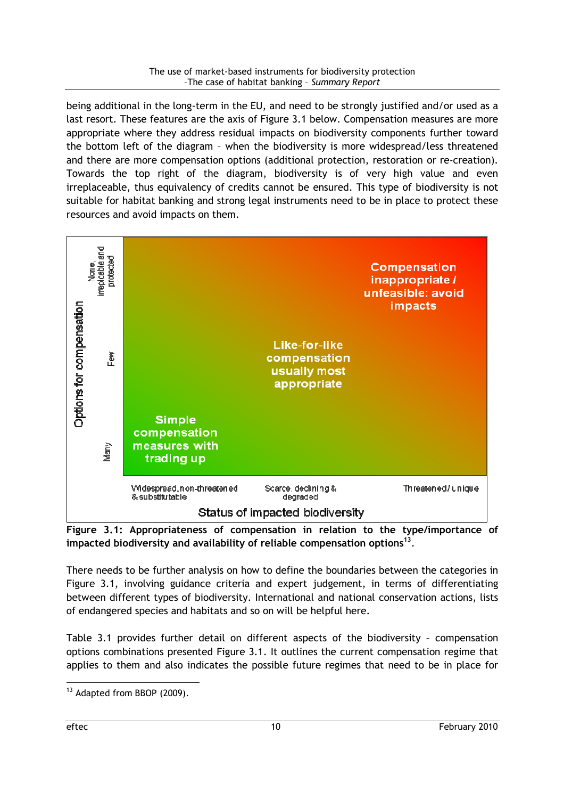being additional in the long-term in the EU, and need to be strongly justified and/or used as a last resort. These features are the axis of Figure 3.1 below. Compensation measures are more appropriate where they address residual impacts on biodiversity components further toward the bottom left of the diagram – when the biodiversity is more widespread/less threatened and there are more compensation options (additional protection, restoration or re-creation). Towards the top right of the diagram, biodiversity is of very high value and even irreplaceable, thus equivalency of credits cannot be ensured. This type of biodiversity is not suitable for habitat banking and strong legal instruments need to be in place to protect these resources and avoid impacts on them.



Figure 3.1: Appropriateness of compensation in relation to the type/importance of impacted biodiversity and availability of reliable compensation options $^{13}$ .

There needs to be further analysis on how to define the boundaries between the categories in Figure 3.1, involving guidance criteria and expert judgement, in terms of differentiating between different types of biodiversity. International and national conservation actions, lists of endangered species and habitats and so on will be helpful here.

Table 3.1 provides further detail on different aspects of the biodiversity – compensation options combinations presented Figure 3.1. It outlines the current compensation regime that applies to them and also indicates the possible future regimes that need to be in place for

<sup>&</sup>lt;sup>13</sup> Adapted from BBOP (2009).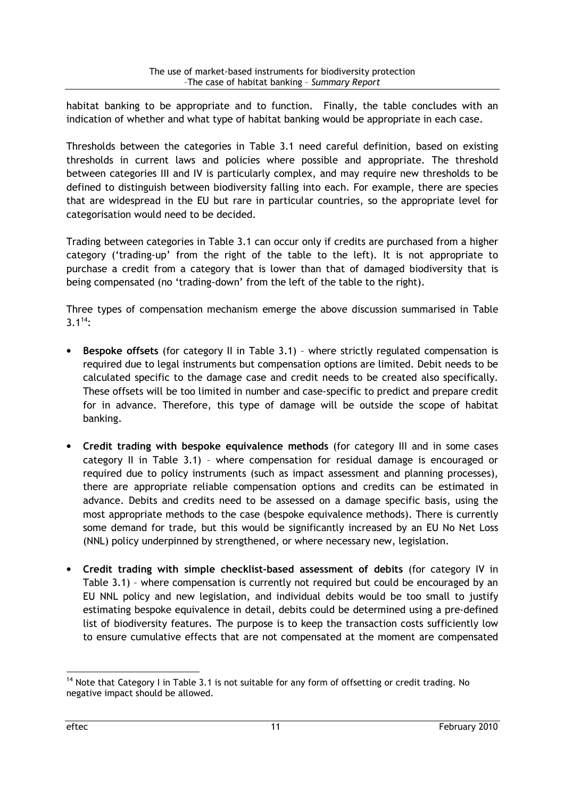habitat banking to be appropriate and to function. Finally, the table concludes with an indication of whether and what type of habitat banking would be appropriate in each case.

Thresholds between the categories in Table 3.1 need careful definition, based on existing thresholds in current laws and policies where possible and appropriate. The threshold between categories III and IV is particularly complex, and may require new thresholds to be defined to distinguish between biodiversity falling into each. For example, there are species that are widespread in the EU but rare in particular countries, so the appropriate level for categorisation would need to be decided.

Trading between categories in Table 3.1 can occur only if credits are purchased from a higher category ('trading-up' from the right of the table to the left). It is not appropriate to purchase a credit from a category that is lower than that of damaged biodiversity that is being compensated (no 'trading-down' from the left of the table to the right).

Three types of compensation mechanism emerge the above discussion summarised in Table  $3.1^{14}$ 

- Bespoke offsets (for category II in Table 3.1) where strictly regulated compensation is required due to legal instruments but compensation options are limited. Debit needs to be calculated specific to the damage case and credit needs to be created also specifically. These offsets will be too limited in number and case-specific to predict and prepare credit for in advance. Therefore, this type of damage will be outside the scope of habitat banking.
- Credit trading with bespoke equivalence methods (for category III and in some cases category II in Table 3.1) – where compensation for residual damage is encouraged or required due to policy instruments (such as impact assessment and planning processes), there are appropriate reliable compensation options and credits can be estimated in advance. Debits and credits need to be assessed on a damage specific basis, using the most appropriate methods to the case (bespoke equivalence methods). There is currently some demand for trade, but this would be significantly increased by an EU No Net Loss (NNL) policy underpinned by strengthened, or where necessary new, legislation.
- Credit trading with simple checklist-based assessment of debits (for category IV in Table 3.1) – where compensation is currently not required but could be encouraged by an EU NNL policy and new legislation, and individual debits would be too small to justify estimating bespoke equivalence in detail, debits could be determined using a pre-defined list of biodiversity features. The purpose is to keep the transaction costs sufficiently low to ensure cumulative effects that are not compensated at the moment are compensated

<sup>&</sup>lt;sup>14</sup> Note that Category I in Table 3.1 is not suitable for any form of offsetting or credit trading. No negative impact should be allowed.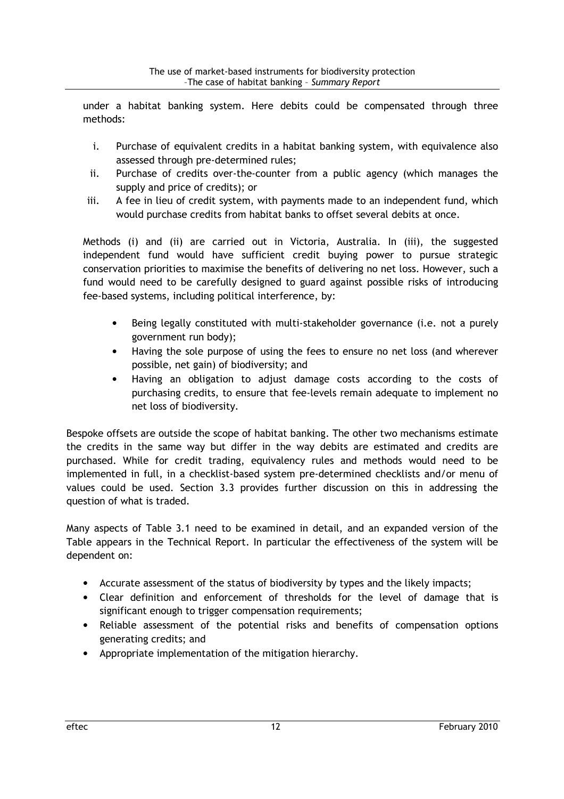under a habitat banking system. Here debits could be compensated through three methods:

- i. Purchase of equivalent credits in a habitat banking system, with equivalence also assessed through pre-determined rules;
- ii. Purchase of credits over-the-counter from a public agency (which manages the supply and price of credits); or
- iii. A fee in lieu of credit system, with payments made to an independent fund, which would purchase credits from habitat banks to offset several debits at once.

Methods (i) and (ii) are carried out in Victoria, Australia. In (iii), the suggested independent fund would have sufficient credit buying power to pursue strategic conservation priorities to maximise the benefits of delivering no net loss. However, such a fund would need to be carefully designed to guard against possible risks of introducing fee-based systems, including political interference, by:

- Being legally constituted with multi-stakeholder governance (i.e. not a purely government run body);
- Having the sole purpose of using the fees to ensure no net loss (and wherever possible, net gain) of biodiversity; and
- Having an obligation to adjust damage costs according to the costs of purchasing credits, to ensure that fee-levels remain adequate to implement no net loss of biodiversity.

Bespoke offsets are outside the scope of habitat banking. The other two mechanisms estimate the credits in the same way but differ in the way debits are estimated and credits are purchased. While for credit trading, equivalency rules and methods would need to be implemented in full, in a checklist-based system pre-determined checklists and/or menu of values could be used. Section 3.3 provides further discussion on this in addressing the question of what is traded.

Many aspects of Table 3.1 need to be examined in detail, and an expanded version of the Table appears in the Technical Report. In particular the effectiveness of the system will be dependent on:

- Accurate assessment of the status of biodiversity by types and the likely impacts;
- Clear definition and enforcement of thresholds for the level of damage that is significant enough to trigger compensation requirements;
- Reliable assessment of the potential risks and benefits of compensation options generating credits; and
- Appropriate implementation of the mitigation hierarchy.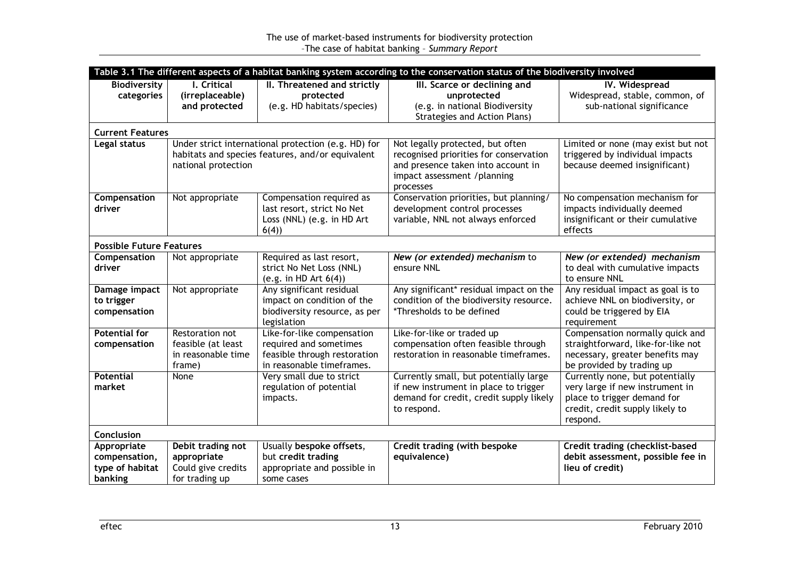| Table 3.1 The different aspects of a habitat banking system according to the conservation status of the biodiversity involved |                                                                                                                                |                                                                                                                   |                                                                                                                                                              |                                                                                                                                                  |  |
|-------------------------------------------------------------------------------------------------------------------------------|--------------------------------------------------------------------------------------------------------------------------------|-------------------------------------------------------------------------------------------------------------------|--------------------------------------------------------------------------------------------------------------------------------------------------------------|--------------------------------------------------------------------------------------------------------------------------------------------------|--|
| <b>Biodiversity</b><br>categories                                                                                             | I. Critical<br>(irreplaceable)<br>and protected                                                                                | II. Threatened and strictly<br>protected<br>(e.g. HD habitats/species)                                            | III. Scarce or declining and<br>unprotected<br>(e.g. in national Biodiversity<br><b>Strategies and Action Plans)</b>                                         | IV. Widespread<br>Widespread, stable, common, of<br>sub-national significance                                                                    |  |
| <b>Current Features</b>                                                                                                       |                                                                                                                                |                                                                                                                   |                                                                                                                                                              |                                                                                                                                                  |  |
| Legal status                                                                                                                  | Under strict international protection (e.g. HD) for<br>habitats and species features, and/or equivalent<br>national protection |                                                                                                                   | Not legally protected, but often<br>recognised priorities for conservation<br>and presence taken into account in<br>impact assessment /planning<br>processes | Limited or none (may exist but not<br>triggered by individual impacts<br>because deemed insignificant)                                           |  |
| Compensation<br>driver                                                                                                        | Not appropriate                                                                                                                | Compensation required as<br>last resort, strict No Net<br>Loss (NNL) (e.g. in HD Art<br>6(4)                      | Conservation priorities, but planning/<br>development control processes<br>variable, NNL not always enforced                                                 | No compensation mechanism for<br>impacts individually deemed<br>insignificant or their cumulative<br>effects                                     |  |
| <b>Possible Future Features</b>                                                                                               |                                                                                                                                |                                                                                                                   |                                                                                                                                                              |                                                                                                                                                  |  |
| Compensation<br>driver                                                                                                        | Not appropriate                                                                                                                | Required as last resort,<br>strict No Net Loss (NNL)<br>(e.g. in HD Art $6(4)$ )                                  | New (or extended) mechanism to<br>ensure NNL                                                                                                                 | New (or extended) mechanism<br>to deal with cumulative impacts<br>to ensure NNL                                                                  |  |
| Damage impact<br>to trigger<br>compensation                                                                                   | Not appropriate                                                                                                                | Any significant residual<br>impact on condition of the<br>biodiversity resource, as per<br>legislation            | Any significant* residual impact on the<br>condition of the biodiversity resource.<br>*Thresholds to be defined                                              | Any residual impact as goal is to<br>achieve NNL on biodiversity, or<br>could be triggered by EIA<br>requirement                                 |  |
| <b>Potential for</b><br>compensation                                                                                          | Restoration not<br>feasible (at least<br>in reasonable time<br>frame)                                                          | Like-for-like compensation<br>required and sometimes<br>feasible through restoration<br>in reasonable timeframes. | Like-for-like or traded up<br>compensation often feasible through<br>restoration in reasonable timeframes.                                                   | Compensation normally quick and<br>straightforward, like-for-like not<br>necessary, greater benefits may<br>be provided by trading up            |  |
| <b>Potential</b><br>market                                                                                                    | None                                                                                                                           | Very small due to strict<br>regulation of potential<br>impacts.                                                   | Currently small, but potentially large<br>if new instrument in place to trigger<br>demand for credit, credit supply likely<br>to respond.                    | Currently none, but potentially<br>very large if new instrument in<br>place to trigger demand for<br>credit, credit supply likely to<br>respond. |  |
| Conclusion                                                                                                                    |                                                                                                                                |                                                                                                                   |                                                                                                                                                              |                                                                                                                                                  |  |
| Appropriate<br>compensation,<br>type of habitat<br>banking                                                                    | Debit trading not<br>appropriate<br>Could give credits<br>for trading up                                                       | Usually bespoke offsets,<br>but credit trading<br>appropriate and possible in<br>some cases                       | Credit trading (with bespoke<br>equivalence)                                                                                                                 | Credit trading (checklist-based<br>debit assessment, possible fee in<br>lieu of credit)                                                          |  |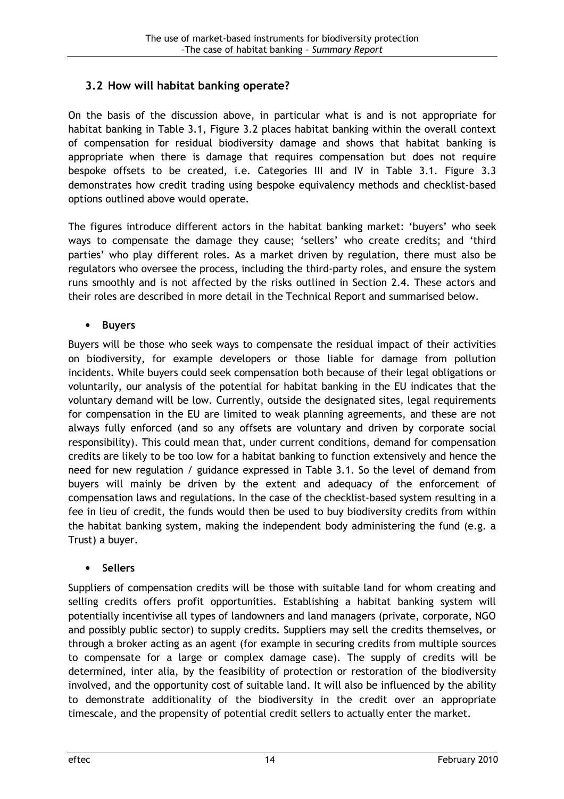## 3.2 How will habitat banking operate?

On the basis of the discussion above, in particular what is and is not appropriate for habitat banking in Table 3.1, Figure 3.2 places habitat banking within the overall context of compensation for residual biodiversity damage and shows that habitat banking is appropriate when there is damage that requires compensation but does not require bespoke offsets to be created, i.e. Categories III and IV in Table 3.1. Figure 3.3 demonstrates how credit trading using bespoke equivalency methods and checklist-based options outlined above would operate.

The figures introduce different actors in the habitat banking market: 'buyers' who seek ways to compensate the damage they cause; 'sellers' who create credits; and 'third parties' who play different roles. As a market driven by regulation, there must also be regulators who oversee the process, including the third-party roles, and ensure the system runs smoothly and is not affected by the risks outlined in Section 2.4. These actors and their roles are described in more detail in the Technical Report and summarised below.

#### • Buyers

Buyers will be those who seek ways to compensate the residual impact of their activities on biodiversity, for example developers or those liable for damage from pollution incidents. While buyers could seek compensation both because of their legal obligations or voluntarily, our analysis of the potential for habitat banking in the EU indicates that the voluntary demand will be low. Currently, outside the designated sites, legal requirements for compensation in the EU are limited to weak planning agreements, and these are not always fully enforced (and so any offsets are voluntary and driven by corporate social responsibility). This could mean that, under current conditions, demand for compensation credits are likely to be too low for a habitat banking to function extensively and hence the need for new regulation / guidance expressed in Table 3.1. So the level of demand from buyers will mainly be driven by the extent and adequacy of the enforcement of compensation laws and regulations. In the case of the checklist-based system resulting in a fee in lieu of credit, the funds would then be used to buy biodiversity credits from within the habitat banking system, making the independent body administering the fund (e.g. a Trust) a buyer.

### • Sellers

Suppliers of compensation credits will be those with suitable land for whom creating and selling credits offers profit opportunities. Establishing a habitat banking system will potentially incentivise all types of landowners and land managers (private, corporate, NGO and possibly public sector) to supply credits. Suppliers may sell the credits themselves, or through a broker acting as an agent (for example in securing credits from multiple sources to compensate for a large or complex damage case). The supply of credits will be determined, inter alia, by the feasibility of protection or restoration of the biodiversity involved, and the opportunity cost of suitable land. It will also be influenced by the ability to demonstrate additionality of the biodiversity in the credit over an appropriate timescale, and the propensity of potential credit sellers to actually enter the market.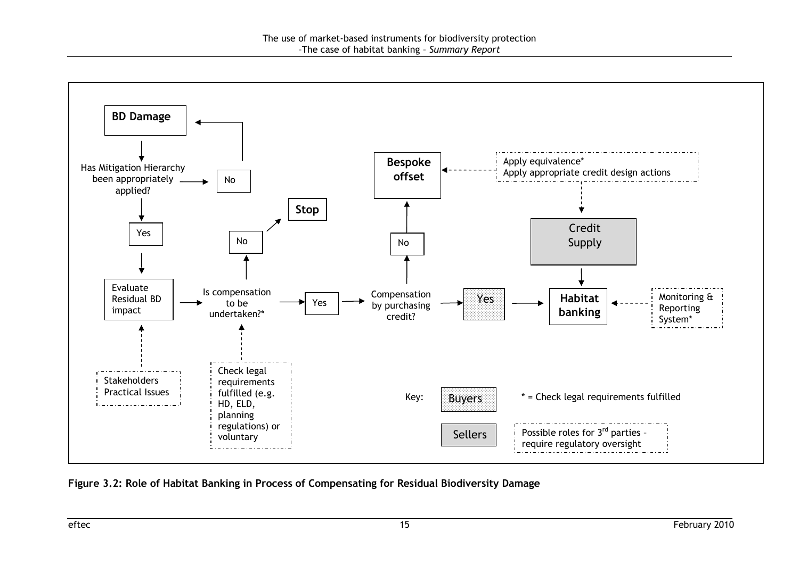

Figure 3.2: Role of Habitat Banking in Process of Compensating for Residual Biodiversity Damage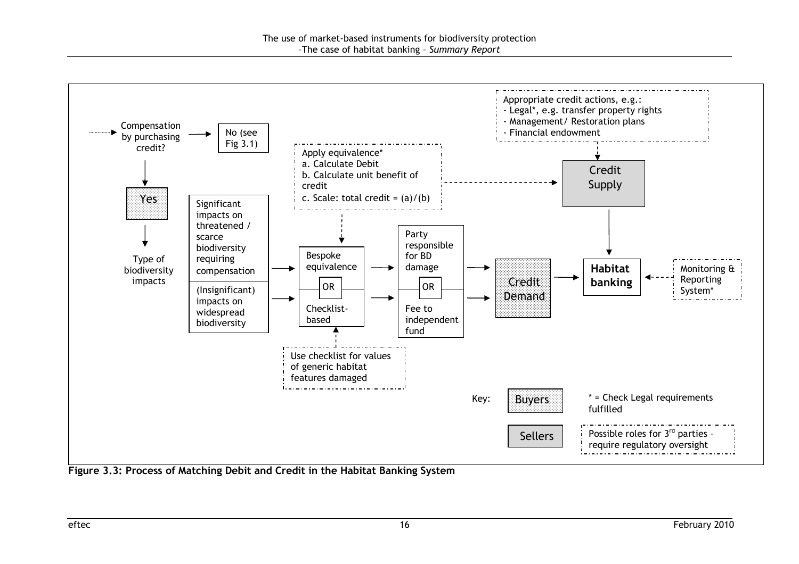

Figure 3.3: Process of Matching Debit and Credit in the Habitat Banking System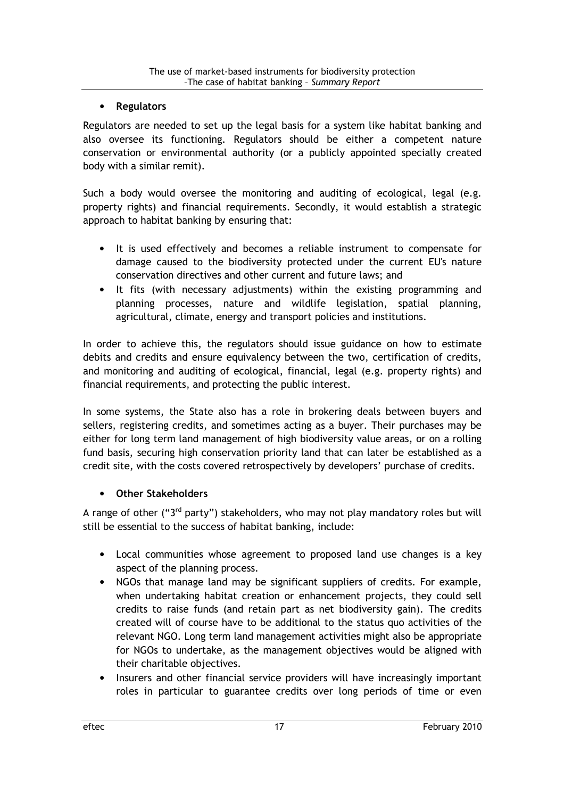#### • Regulators

Regulators are needed to set up the legal basis for a system like habitat banking and also oversee its functioning. Regulators should be either a competent nature conservation or environmental authority (or a publicly appointed specially created body with a similar remit).

Such a body would oversee the monitoring and auditing of ecological, legal (e.g. property rights) and financial requirements. Secondly, it would establish a strategic approach to habitat banking by ensuring that:

- It is used effectively and becomes a reliable instrument to compensate for damage caused to the biodiversity protected under the current EU's nature conservation directives and other current and future laws; and
- It fits (with necessary adjustments) within the existing programming and planning processes, nature and wildlife legislation, spatial planning, agricultural, climate, energy and transport policies and institutions.

In order to achieve this, the regulators should issue guidance on how to estimate debits and credits and ensure equivalency between the two, certification of credits, and monitoring and auditing of ecological, financial, legal (e.g. property rights) and financial requirements, and protecting the public interest.

In some systems, the State also has a role in brokering deals between buyers and sellers, registering credits, and sometimes acting as a buyer. Their purchases may be either for long term land management of high biodiversity value areas, or on a rolling fund basis, securing high conservation priority land that can later be established as a credit site, with the costs covered retrospectively by developers' purchase of credits.

### • Other Stakeholders

A range of other (" $3<sup>rd</sup>$  party") stakeholders, who may not play mandatory roles but will still be essential to the success of habitat banking, include:

- Local communities whose agreement to proposed land use changes is a key aspect of the planning process.
- NGOs that manage land may be significant suppliers of credits. For example, when undertaking habitat creation or enhancement projects, they could sell credits to raise funds (and retain part as net biodiversity gain). The credits created will of course have to be additional to the status quo activities of the relevant NGO. Long term land management activities might also be appropriate for NGOs to undertake, as the management objectives would be aligned with their charitable objectives.
- Insurers and other financial service providers will have increasingly important roles in particular to guarantee credits over long periods of time or even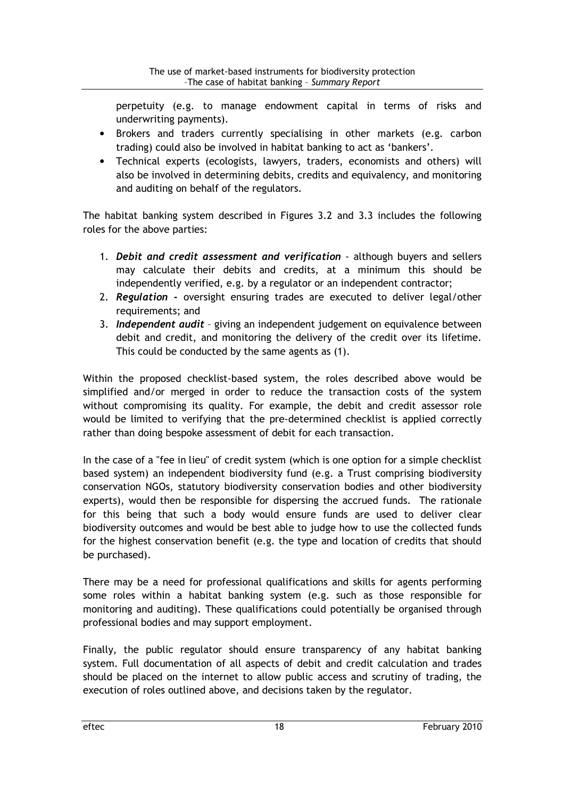perpetuity (e.g. to manage endowment capital in terms of risks and underwriting payments).

- Brokers and traders currently specialising in other markets (e.g. carbon trading) could also be involved in habitat banking to act as 'bankers'.
- Technical experts (ecologists, lawyers, traders, economists and others) will also be involved in determining debits, credits and equivalency, and monitoring and auditing on behalf of the regulators.

The habitat banking system described in Figures 3.2 and 3.3 includes the following roles for the above parties:

- 1. Debit and credit assessment and verification although buyers and sellers may calculate their debits and credits, at a minimum this should be independently verified, e.g. by a regulator or an independent contractor;
- 2. Regulation oversight ensuring trades are executed to deliver legal/other requirements; and
- 3. Independent audit giving an independent judgement on equivalence between debit and credit, and monitoring the delivery of the credit over its lifetime. This could be conducted by the same agents as (1).

Within the proposed checklist-based system, the roles described above would be simplified and/or merged in order to reduce the transaction costs of the system without compromising its quality. For example, the debit and credit assessor role would be limited to verifying that the pre-determined checklist is applied correctly rather than doing bespoke assessment of debit for each transaction.

In the case of a "fee in lieu" of credit system (which is one option for a simple checklist based system) an independent biodiversity fund (e.g. a Trust comprising biodiversity conservation NGOs, statutory biodiversity conservation bodies and other biodiversity experts), would then be responsible for dispersing the accrued funds. The rationale for this being that such a body would ensure funds are used to deliver clear biodiversity outcomes and would be best able to judge how to use the collected funds for the highest conservation benefit (e.g. the type and location of credits that should be purchased).

There may be a need for professional qualifications and skills for agents performing some roles within a habitat banking system (e.g. such as those responsible for monitoring and auditing). These qualifications could potentially be organised through professional bodies and may support employment.

Finally, the public regulator should ensure transparency of any habitat banking system. Full documentation of all aspects of debit and credit calculation and trades should be placed on the internet to allow public access and scrutiny of trading, the execution of roles outlined above, and decisions taken by the regulator.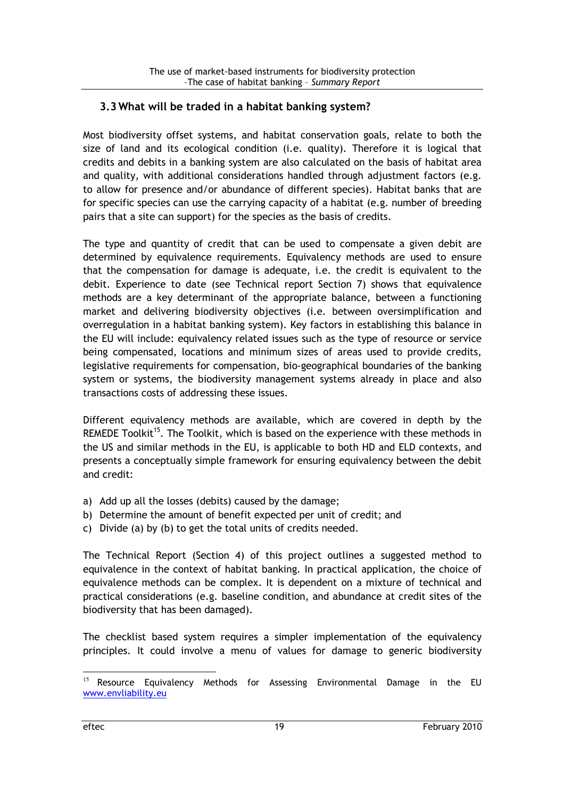### 3.3 What will be traded in a habitat banking system?

Most biodiversity offset systems, and habitat conservation goals, relate to both the size of land and its ecological condition (i.e. quality). Therefore it is logical that credits and debits in a banking system are also calculated on the basis of habitat area and quality, with additional considerations handled through adjustment factors (e.g. to allow for presence and/or abundance of different species). Habitat banks that are for specific species can use the carrying capacity of a habitat (e.g. number of breeding pairs that a site can support) for the species as the basis of credits.

The type and quantity of credit that can be used to compensate a given debit are determined by equivalence requirements. Equivalency methods are used to ensure that the compensation for damage is adequate, i.e. the credit is equivalent to the debit. Experience to date (see Technical report Section 7) shows that equivalence methods are a key determinant of the appropriate balance, between a functioning market and delivering biodiversity objectives (i.e. between oversimplification and overregulation in a habitat banking system). Key factors in establishing this balance in the EU will include: equivalency related issues such as the type of resource or service being compensated, locations and minimum sizes of areas used to provide credits, legislative requirements for compensation, bio-geographical boundaries of the banking system or systems, the biodiversity management systems already in place and also transactions costs of addressing these issues.

Different equivalency methods are available, which are covered in depth by the REMEDE Toolkit<sup>15</sup>. The Toolkit, which is based on the experience with these methods in the US and similar methods in the EU, is applicable to both HD and ELD contexts, and presents a conceptually simple framework for ensuring equivalency between the debit and credit:

- a) Add up all the losses (debits) caused by the damage;
- b) Determine the amount of benefit expected per unit of credit; and
- c) Divide (a) by (b) to get the total units of credits needed.

The Technical Report (Section 4) of this project outlines a suggested method to equivalence in the context of habitat banking. In practical application, the choice of equivalence methods can be complex. It is dependent on a mixture of technical and practical considerations (e.g. baseline condition, and abundance at credit sites of the biodiversity that has been damaged).

The checklist based system requires a simpler implementation of the equivalency principles. It could involve a menu of values for damage to generic biodiversity

<sup>&</sup>lt;sup>15</sup> Resource Equivalency Methods for Assessing Environmental Damage in the EU www.envliability.eu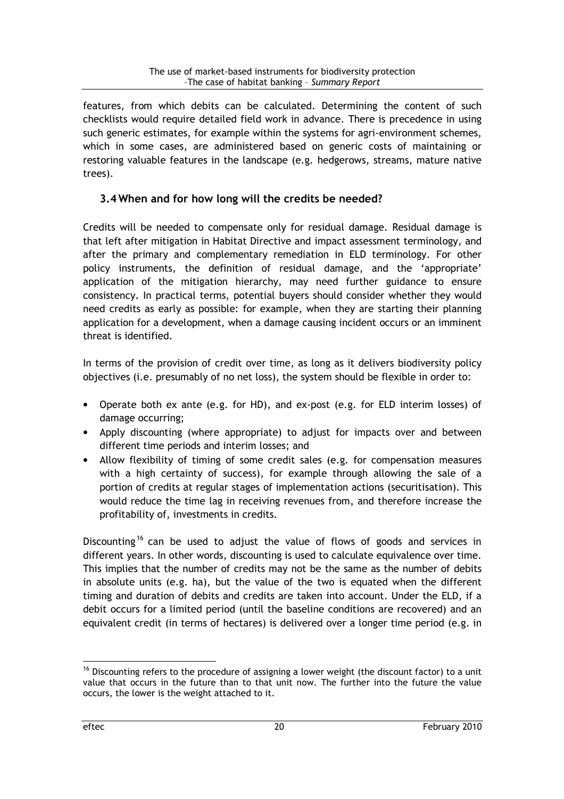features, from which debits can be calculated. Determining the content of such checklists would require detailed field work in advance. There is precedence in using such generic estimates, for example within the systems for agri-environment schemes, which in some cases, are administered based on generic costs of maintaining or restoring valuable features in the landscape (e.g. hedgerows, streams, mature native trees).

## 3.4 When and for how long will the credits be needed?

Credits will be needed to compensate only for residual damage. Residual damage is that left after mitigation in Habitat Directive and impact assessment terminology, and after the primary and complementary remediation in ELD terminology. For other policy instruments, the definition of residual damage, and the 'appropriate' application of the mitigation hierarchy, may need further guidance to ensure consistency. In practical terms, potential buyers should consider whether they would need credits as early as possible: for example, when they are starting their planning application for a development, when a damage causing incident occurs or an imminent threat is identified.

In terms of the provision of credit over time, as long as it delivers biodiversity policy objectives (i.e. presumably of no net loss), the system should be flexible in order to:

- Operate both ex ante (e.g. for HD), and ex-post (e.g. for ELD interim losses) of damage occurring;
- Apply discounting (where appropriate) to adjust for impacts over and between different time periods and interim losses; and
- Allow flexibility of timing of some credit sales (e.g. for compensation measures with a high certainty of success), for example through allowing the sale of a portion of credits at regular stages of implementation actions (securitisation). This would reduce the time lag in receiving revenues from, and therefore increase the profitability of, investments in credits.

Discounting<sup>16</sup> can be used to adjust the value of flows of goods and services in different years. In other words, discounting is used to calculate equivalence over time. This implies that the number of credits may not be the same as the number of debits in absolute units (e.g. ha), but the value of the two is equated when the different timing and duration of debits and credits are taken into account. Under the ELD, if a debit occurs for a limited period (until the baseline conditions are recovered) and an equivalent credit (in terms of hectares) is delivered over a longer time period (e.g. in

<sup>&</sup>lt;sup>16</sup> Discounting refers to the procedure of assigning a lower weight (the discount factor) to a unit value that occurs in the future than to that unit now. The further into the future the value occurs, the lower is the weight attached to it.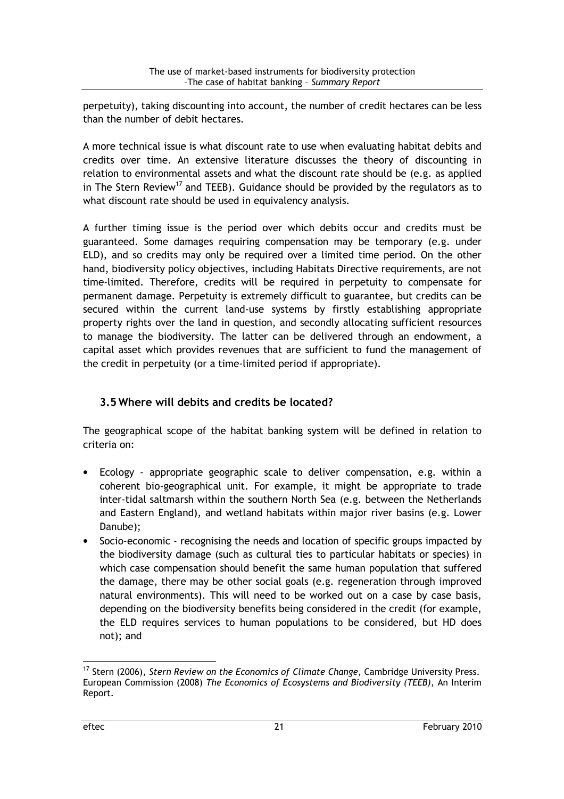perpetuity), taking discounting into account, the number of credit hectares can be less than the number of debit hectares.

A more technical issue is what discount rate to use when evaluating habitat debits and credits over time. An extensive literature discusses the theory of discounting in relation to environmental assets and what the discount rate should be (e.g. as applied in The Stern Review<sup>17</sup> and TEEB). Guidance should be provided by the regulators as to what discount rate should be used in equivalency analysis.

A further timing issue is the period over which debits occur and credits must be guaranteed. Some damages requiring compensation may be temporary (e.g. under ELD), and so credits may only be required over a limited time period. On the other hand, biodiversity policy objectives, including Habitats Directive requirements, are not time-limited. Therefore, credits will be required in perpetuity to compensate for permanent damage. Perpetuity is extremely difficult to guarantee, but credits can be secured within the current land-use systems by firstly establishing appropriate property rights over the land in question, and secondly allocating sufficient resources to manage the biodiversity. The latter can be delivered through an endowment, a capital asset which provides revenues that are sufficient to fund the management of the credit in perpetuity (or a time-limited period if appropriate).

## 3.5 Where will debits and credits be located?

The geographical scope of the habitat banking system will be defined in relation to criteria on:

- Ecology appropriate geographic scale to deliver compensation, e.g. within a coherent bio-geographical unit. For example, it might be appropriate to trade inter-tidal saltmarsh within the southern North Sea (e.g. between the Netherlands and Eastern England), and wetland habitats within major river basins (e.g. Lower Danube);
- Socio-economic recognising the needs and location of specific groups impacted by the biodiversity damage (such as cultural ties to particular habitats or species) in which case compensation should benefit the same human population that suffered the damage, there may be other social goals (e.g. regeneration through improved natural environments). This will need to be worked out on a case by case basis, depending on the biodiversity benefits being considered in the credit (for example, the ELD requires services to human populations to be considered, but HD does not); and

<sup>&</sup>lt;sup>17</sup> Stern (2006), Stern Review on the Economics of Climate Change, Cambridge University Press. European Commission (2008) The Economics of Ecosystems and Biodiversity (TEEB), An Interim Report.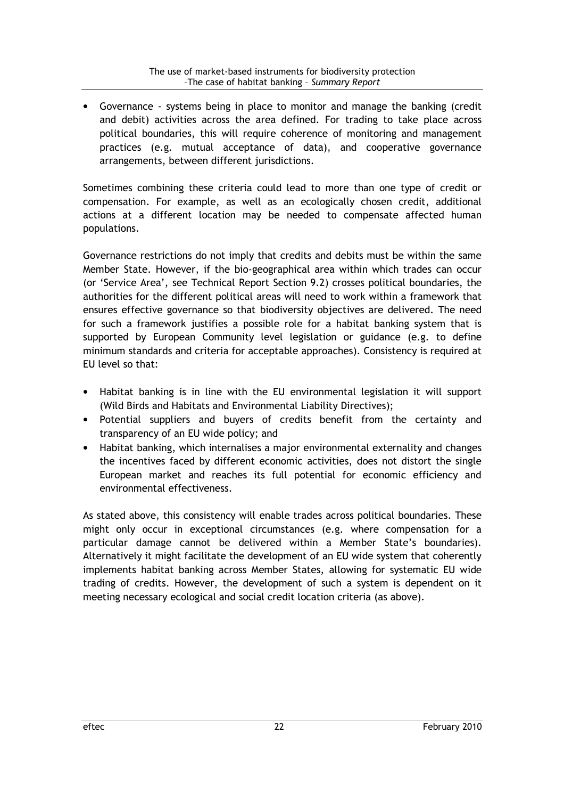• Governance - systems being in place to monitor and manage the banking (credit and debit) activities across the area defined. For trading to take place across political boundaries, this will require coherence of monitoring and management practices (e.g. mutual acceptance of data), and cooperative governance arrangements, between different jurisdictions.

Sometimes combining these criteria could lead to more than one type of credit or compensation. For example, as well as an ecologically chosen credit, additional actions at a different location may be needed to compensate affected human populations.

Governance restrictions do not imply that credits and debits must be within the same Member State. However, if the bio-geographical area within which trades can occur (or 'Service Area', see Technical Report Section 9.2) crosses political boundaries, the authorities for the different political areas will need to work within a framework that ensures effective governance so that biodiversity objectives are delivered. The need for such a framework justifies a possible role for a habitat banking system that is supported by European Community level legislation or guidance (e.g. to define minimum standards and criteria for acceptable approaches). Consistency is required at EU level so that:

- Habitat banking is in line with the EU environmental legislation it will support (Wild Birds and Habitats and Environmental Liability Directives);
- Potential suppliers and buyers of credits benefit from the certainty and transparency of an EU wide policy; and
- Habitat banking, which internalises a major environmental externality and changes the incentives faced by different economic activities, does not distort the single European market and reaches its full potential for economic efficiency and environmental effectiveness.

As stated above, this consistency will enable trades across political boundaries. These might only occur in exceptional circumstances (e.g. where compensation for a particular damage cannot be delivered within a Member State's boundaries). Alternatively it might facilitate the development of an EU wide system that coherently implements habitat banking across Member States, allowing for systematic EU wide trading of credits. However, the development of such a system is dependent on it meeting necessary ecological and social credit location criteria (as above).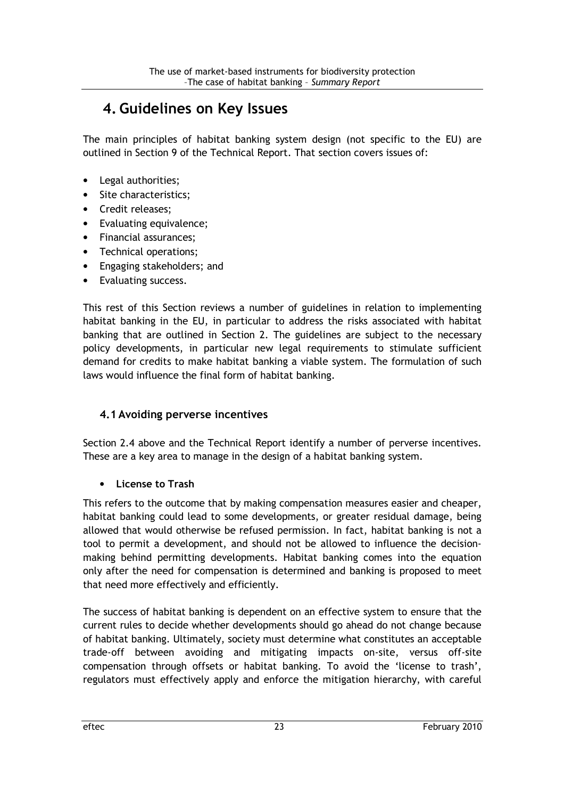## 4. Guidelines on Key Issues

The main principles of habitat banking system design (not specific to the EU) are outlined in Section 9 of the Technical Report. That section covers issues of:

- Legal authorities;
- Site characteristics;
- Credit releases;
- Evaluating equivalence;
- Financial assurances;
- Technical operations;
- Engaging stakeholders; and
- Evaluating success.

This rest of this Section reviews a number of guidelines in relation to implementing habitat banking in the EU, in particular to address the risks associated with habitat banking that are outlined in Section 2. The guidelines are subject to the necessary policy developments, in particular new legal requirements to stimulate sufficient demand for credits to make habitat banking a viable system. The formulation of such laws would influence the final form of habitat banking.

## 4.1Avoiding perverse incentives

Section 2.4 above and the Technical Report identify a number of perverse incentives. These are a key area to manage in the design of a habitat banking system.

### • License to Trash

This refers to the outcome that by making compensation measures easier and cheaper, habitat banking could lead to some developments, or greater residual damage, being allowed that would otherwise be refused permission. In fact, habitat banking is not a tool to permit a development, and should not be allowed to influence the decisionmaking behind permitting developments. Habitat banking comes into the equation only after the need for compensation is determined and banking is proposed to meet that need more effectively and efficiently.

The success of habitat banking is dependent on an effective system to ensure that the current rules to decide whether developments should go ahead do not change because of habitat banking. Ultimately, society must determine what constitutes an acceptable trade-off between avoiding and mitigating impacts on-site, versus off-site compensation through offsets or habitat banking. To avoid the 'license to trash', regulators must effectively apply and enforce the mitigation hierarchy, with careful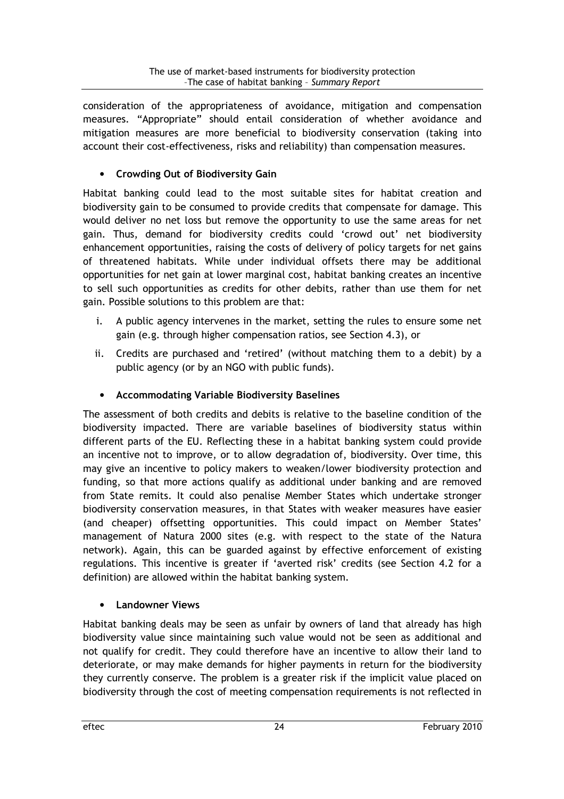consideration of the appropriateness of avoidance, mitigation and compensation measures. "Appropriate" should entail consideration of whether avoidance and mitigation measures are more beneficial to biodiversity conservation (taking into account their cost-effectiveness, risks and reliability) than compensation measures.

## • Crowding Out of Biodiversity Gain

Habitat banking could lead to the most suitable sites for habitat creation and biodiversity gain to be consumed to provide credits that compensate for damage. This would deliver no net loss but remove the opportunity to use the same areas for net gain. Thus, demand for biodiversity credits could 'crowd out' net biodiversity enhancement opportunities, raising the costs of delivery of policy targets for net gains of threatened habitats. While under individual offsets there may be additional opportunities for net gain at lower marginal cost, habitat banking creates an incentive to sell such opportunities as credits for other debits, rather than use them for net gain. Possible solutions to this problem are that:

- i. A public agency intervenes in the market, setting the rules to ensure some net gain (e.g. through higher compensation ratios, see Section 4.3), or
- ii. Credits are purchased and 'retired' (without matching them to a debit) by a public agency (or by an NGO with public funds).

## • Accommodating Variable Biodiversity Baselines

The assessment of both credits and debits is relative to the baseline condition of the biodiversity impacted. There are variable baselines of biodiversity status within different parts of the EU. Reflecting these in a habitat banking system could provide an incentive not to improve, or to allow degradation of, biodiversity. Over time, this may give an incentive to policy makers to weaken/lower biodiversity protection and funding, so that more actions qualify as additional under banking and are removed from State remits. It could also penalise Member States which undertake stronger biodiversity conservation measures, in that States with weaker measures have easier (and cheaper) offsetting opportunities. This could impact on Member States' management of Natura 2000 sites (e.g. with respect to the state of the Natura network). Again, this can be guarded against by effective enforcement of existing regulations. This incentive is greater if 'averted risk' credits (see Section 4.2 for a definition) are allowed within the habitat banking system.

### • Landowner Views

Habitat banking deals may be seen as unfair by owners of land that already has high biodiversity value since maintaining such value would not be seen as additional and not qualify for credit. They could therefore have an incentive to allow their land to deteriorate, or may make demands for higher payments in return for the biodiversity they currently conserve. The problem is a greater risk if the implicit value placed on biodiversity through the cost of meeting compensation requirements is not reflected in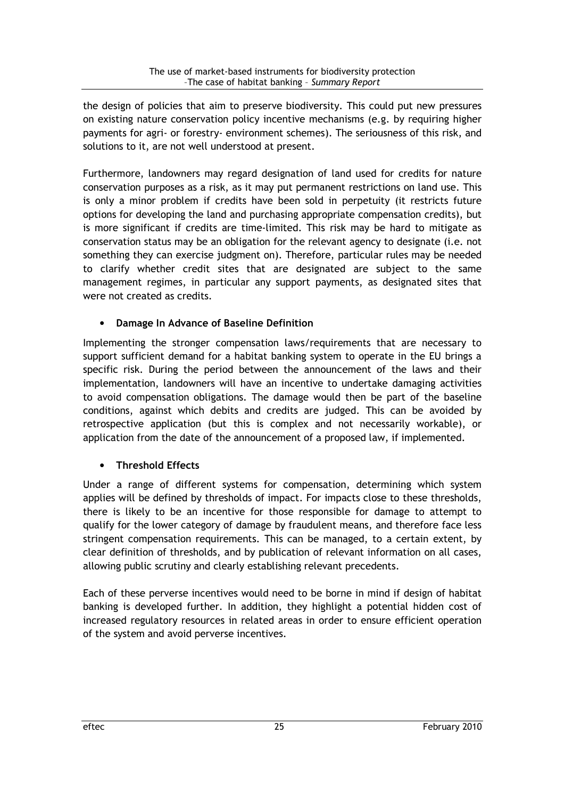the design of policies that aim to preserve biodiversity. This could put new pressures on existing nature conservation policy incentive mechanisms (e.g. by requiring higher payments for agri- or forestry- environment schemes). The seriousness of this risk, and solutions to it, are not well understood at present.

Furthermore, landowners may regard designation of land used for credits for nature conservation purposes as a risk, as it may put permanent restrictions on land use. This is only a minor problem if credits have been sold in perpetuity (it restricts future options for developing the land and purchasing appropriate compensation credits), but is more significant if credits are time-limited. This risk may be hard to mitigate as conservation status may be an obligation for the relevant agency to designate (i.e. not something they can exercise judgment on). Therefore, particular rules may be needed to clarify whether credit sites that are designated are subject to the same management regimes, in particular any support payments, as designated sites that were not created as credits.

## • Damage In Advance of Baseline Definition

Implementing the stronger compensation laws/requirements that are necessary to support sufficient demand for a habitat banking system to operate in the EU brings a specific risk. During the period between the announcement of the laws and their implementation, landowners will have an incentive to undertake damaging activities to avoid compensation obligations. The damage would then be part of the baseline conditions, against which debits and credits are judged. This can be avoided by retrospective application (but this is complex and not necessarily workable), or application from the date of the announcement of a proposed law, if implemented.

## • Threshold Effects

Under a range of different systems for compensation, determining which system applies will be defined by thresholds of impact. For impacts close to these thresholds, there is likely to be an incentive for those responsible for damage to attempt to qualify for the lower category of damage by fraudulent means, and therefore face less stringent compensation requirements. This can be managed, to a certain extent, by clear definition of thresholds, and by publication of relevant information on all cases, allowing public scrutiny and clearly establishing relevant precedents.

Each of these perverse incentives would need to be borne in mind if design of habitat banking is developed further. In addition, they highlight a potential hidden cost of increased regulatory resources in related areas in order to ensure efficient operation of the system and avoid perverse incentives.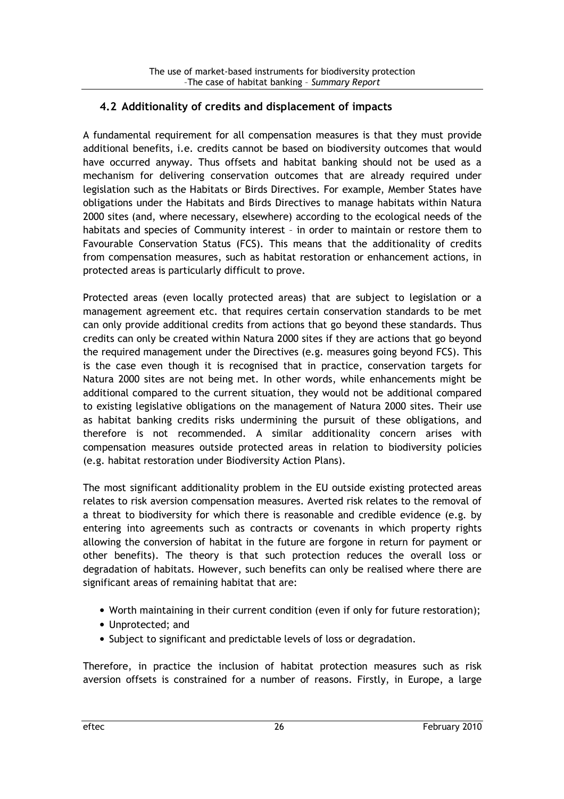## 4.2 Additionality of credits and displacement of impacts

A fundamental requirement for all compensation measures is that they must provide additional benefits, i.e. credits cannot be based on biodiversity outcomes that would have occurred anyway. Thus offsets and habitat banking should not be used as a mechanism for delivering conservation outcomes that are already required under legislation such as the Habitats or Birds Directives. For example, Member States have obligations under the Habitats and Birds Directives to manage habitats within Natura 2000 sites (and, where necessary, elsewhere) according to the ecological needs of the habitats and species of Community interest – in order to maintain or restore them to Favourable Conservation Status (FCS). This means that the additionality of credits from compensation measures, such as habitat restoration or enhancement actions, in protected areas is particularly difficult to prove.

Protected areas (even locally protected areas) that are subject to legislation or a management agreement etc. that requires certain conservation standards to be met can only provide additional credits from actions that go beyond these standards. Thus credits can only be created within Natura 2000 sites if they are actions that go beyond the required management under the Directives (e.g. measures going beyond FCS). This is the case even though it is recognised that in practice, conservation targets for Natura 2000 sites are not being met. In other words, while enhancements might be additional compared to the current situation, they would not be additional compared to existing legislative obligations on the management of Natura 2000 sites. Their use as habitat banking credits risks undermining the pursuit of these obligations, and therefore is not recommended. A similar additionality concern arises with compensation measures outside protected areas in relation to biodiversity policies (e.g. habitat restoration under Biodiversity Action Plans).

The most significant additionality problem in the EU outside existing protected areas relates to risk aversion compensation measures. Averted risk relates to the removal of a threat to biodiversity for which there is reasonable and credible evidence (e.g. by entering into agreements such as contracts or covenants in which property rights allowing the conversion of habitat in the future are forgone in return for payment or other benefits). The theory is that such protection reduces the overall loss or degradation of habitats. However, such benefits can only be realised where there are significant areas of remaining habitat that are:

- Worth maintaining in their current condition (even if only for future restoration);
- Unprotected; and
- Subject to significant and predictable levels of loss or degradation.

Therefore, in practice the inclusion of habitat protection measures such as risk aversion offsets is constrained for a number of reasons. Firstly, in Europe, a large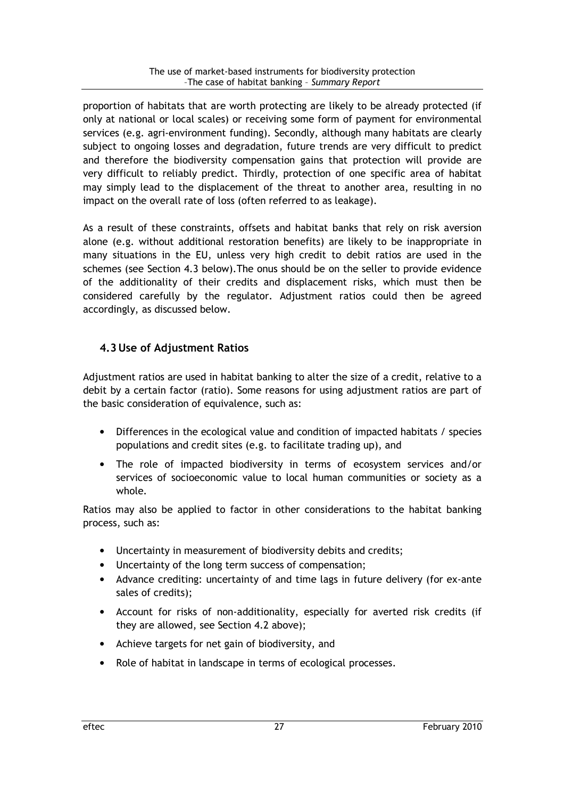proportion of habitats that are worth protecting are likely to be already protected (if only at national or local scales) or receiving some form of payment for environmental services (e.g. agri-environment funding). Secondly, although many habitats are clearly subject to ongoing losses and degradation, future trends are very difficult to predict and therefore the biodiversity compensation gains that protection will provide are very difficult to reliably predict. Thirdly, protection of one specific area of habitat may simply lead to the displacement of the threat to another area, resulting in no impact on the overall rate of loss (often referred to as leakage).

As a result of these constraints, offsets and habitat banks that rely on risk aversion alone (e.g. without additional restoration benefits) are likely to be inappropriate in many situations in the EU, unless very high credit to debit ratios are used in the schemes (see Section 4.3 below).The onus should be on the seller to provide evidence of the additionality of their credits and displacement risks, which must then be considered carefully by the regulator. Adjustment ratios could then be agreed accordingly, as discussed below.

## 4.3Use of Adjustment Ratios

Adjustment ratios are used in habitat banking to alter the size of a credit, relative to a debit by a certain factor (ratio). Some reasons for using adjustment ratios are part of the basic consideration of equivalence, such as:

- Differences in the ecological value and condition of impacted habitats / species populations and credit sites (e.g. to facilitate trading up), and
- The role of impacted biodiversity in terms of ecosystem services and/or services of socioeconomic value to local human communities or society as a whole.

Ratios may also be applied to factor in other considerations to the habitat banking process, such as:

- Uncertainty in measurement of biodiversity debits and credits;
- Uncertainty of the long term success of compensation;
- Advance crediting: uncertainty of and time lags in future delivery (for ex-ante sales of credits);
- Account for risks of non-additionality, especially for averted risk credits (if they are allowed, see Section 4.2 above);
- Achieve targets for net gain of biodiversity, and
- Role of habitat in landscape in terms of ecological processes.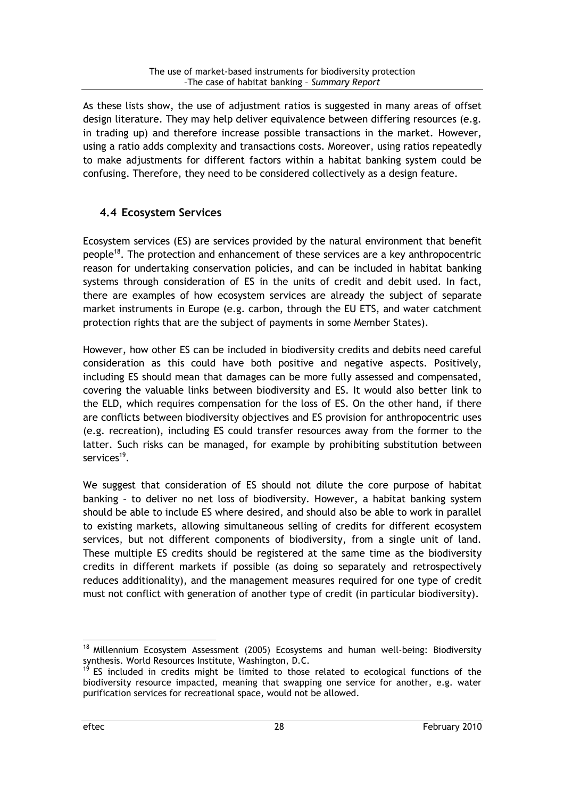As these lists show, the use of adjustment ratios is suggested in many areas of offset design literature. They may help deliver equivalence between differing resources (e.g. in trading up) and therefore increase possible transactions in the market. However, using a ratio adds complexity and transactions costs. Moreover, using ratios repeatedly to make adjustments for different factors within a habitat banking system could be confusing. Therefore, they need to be considered collectively as a design feature.

## 4.4 Ecosystem Services

Ecosystem services (ES) are services provided by the natural environment that benefit people<sup>18</sup>. The protection and enhancement of these services are a key anthropocentric reason for undertaking conservation policies, and can be included in habitat banking systems through consideration of ES in the units of credit and debit used. In fact, there are examples of how ecosystem services are already the subject of separate market instruments in Europe (e.g. carbon, through the EU ETS, and water catchment protection rights that are the subject of payments in some Member States).

However, how other ES can be included in biodiversity credits and debits need careful consideration as this could have both positive and negative aspects. Positively, including ES should mean that damages can be more fully assessed and compensated, covering the valuable links between biodiversity and ES. It would also better link to the ELD, which requires compensation for the loss of ES. On the other hand, if there are conflicts between biodiversity objectives and ES provision for anthropocentric uses (e.g. recreation), including ES could transfer resources away from the former to the latter. Such risks can be managed, for example by prohibiting substitution between services<sup>19</sup>.

We suggest that consideration of ES should not dilute the core purpose of habitat banking – to deliver no net loss of biodiversity. However, a habitat banking system should be able to include ES where desired, and should also be able to work in parallel to existing markets, allowing simultaneous selling of credits for different ecosystem services, but not different components of biodiversity, from a single unit of land. These multiple ES credits should be registered at the same time as the biodiversity credits in different markets if possible (as doing so separately and retrospectively reduces additionality), and the management measures required for one type of credit must not conflict with generation of another type of credit (in particular biodiversity).

<sup>&</sup>lt;sup>18</sup> Millennium Ecosystem Assessment (2005) Ecosystems and human well-being: Biodiversity synthesis. World Resources Institute, Washington, D.C.

ES included in credits might be limited to those related to ecological functions of the biodiversity resource impacted, meaning that swapping one service for another, e.g. water purification services for recreational space, would not be allowed.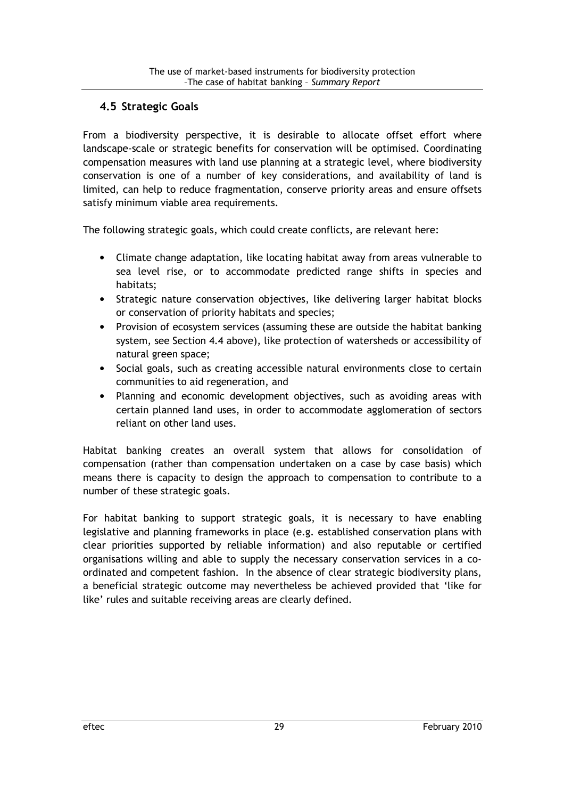## 4.5 Strategic Goals

From a biodiversity perspective, it is desirable to allocate offset effort where landscape-scale or strategic benefits for conservation will be optimised. Coordinating compensation measures with land use planning at a strategic level, where biodiversity conservation is one of a number of key considerations, and availability of land is limited, can help to reduce fragmentation, conserve priority areas and ensure offsets satisfy minimum viable area requirements.

The following strategic goals, which could create conflicts, are relevant here:

- Climate change adaptation, like locating habitat away from areas vulnerable to sea level rise, or to accommodate predicted range shifts in species and habitats;
- Strategic nature conservation objectives, like delivering larger habitat blocks or conservation of priority habitats and species;
- Provision of ecosystem services (assuming these are outside the habitat banking system, see Section 4.4 above), like protection of watersheds or accessibility of natural green space;
- Social goals, such as creating accessible natural environments close to certain communities to aid regeneration, and
- Planning and economic development objectives, such as avoiding areas with certain planned land uses, in order to accommodate agglomeration of sectors reliant on other land uses.

Habitat banking creates an overall system that allows for consolidation of compensation (rather than compensation undertaken on a case by case basis) which means there is capacity to design the approach to compensation to contribute to a number of these strategic goals.

For habitat banking to support strategic goals, it is necessary to have enabling legislative and planning frameworks in place (e.g. established conservation plans with clear priorities supported by reliable information) and also reputable or certified organisations willing and able to supply the necessary conservation services in a coordinated and competent fashion. In the absence of clear strategic biodiversity plans, a beneficial strategic outcome may nevertheless be achieved provided that 'like for like' rules and suitable receiving areas are clearly defined.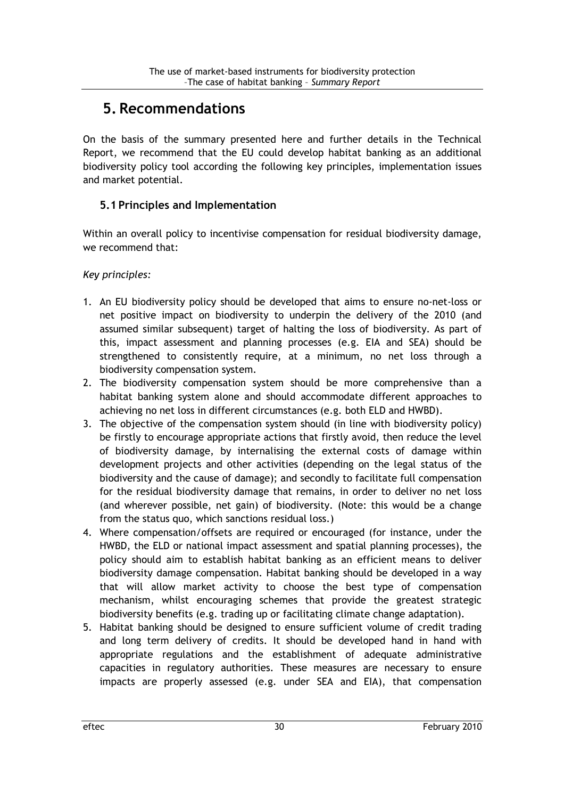## 5. Recommendations

On the basis of the summary presented here and further details in the Technical Report, we recommend that the EU could develop habitat banking as an additional biodiversity policy tool according the following key principles, implementation issues and market potential.

## 5.1 Principles and Implementation

Within an overall policy to incentivise compensation for residual biodiversity damage, we recommend that:

#### Key principles:

- 1. An EU biodiversity policy should be developed that aims to ensure no-net-loss or net positive impact on biodiversity to underpin the delivery of the 2010 (and assumed similar subsequent) target of halting the loss of biodiversity. As part of this, impact assessment and planning processes (e.g. EIA and SEA) should be strengthened to consistently require, at a minimum, no net loss through a biodiversity compensation system.
- 2. The biodiversity compensation system should be more comprehensive than a habitat banking system alone and should accommodate different approaches to achieving no net loss in different circumstances (e.g. both ELD and HWBD).
- 3. The objective of the compensation system should (in line with biodiversity policy) be firstly to encourage appropriate actions that firstly avoid, then reduce the level of biodiversity damage, by internalising the external costs of damage within development projects and other activities (depending on the legal status of the biodiversity and the cause of damage); and secondly to facilitate full compensation for the residual biodiversity damage that remains, in order to deliver no net loss (and wherever possible, net gain) of biodiversity. (Note: this would be a change from the status quo, which sanctions residual loss.)
- 4. Where compensation/offsets are required or encouraged (for instance, under the HWBD, the ELD or national impact assessment and spatial planning processes), the policy should aim to establish habitat banking as an efficient means to deliver biodiversity damage compensation. Habitat banking should be developed in a way that will allow market activity to choose the best type of compensation mechanism, whilst encouraging schemes that provide the greatest strategic biodiversity benefits (e.g. trading up or facilitating climate change adaptation).
- 5. Habitat banking should be designed to ensure sufficient volume of credit trading and long term delivery of credits. It should be developed hand in hand with appropriate regulations and the establishment of adequate administrative capacities in regulatory authorities. These measures are necessary to ensure impacts are properly assessed (e.g. under SEA and EIA), that compensation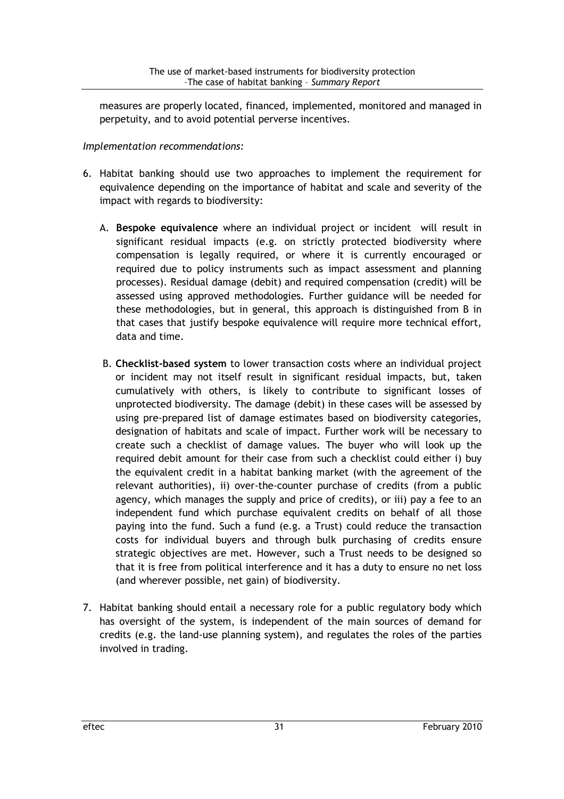measures are properly located, financed, implemented, monitored and managed in perpetuity, and to avoid potential perverse incentives.

#### Implementation recommendations:

- 6. Habitat banking should use two approaches to implement the requirement for equivalence depending on the importance of habitat and scale and severity of the impact with regards to biodiversity:
	- A. Bespoke equivalence where an individual project or incident will result in significant residual impacts (e.g. on strictly protected biodiversity where compensation is legally required, or where it is currently encouraged or required due to policy instruments such as impact assessment and planning processes). Residual damage (debit) and required compensation (credit) will be assessed using approved methodologies. Further guidance will be needed for these methodologies, but in general, this approach is distinguished from B in that cases that justify bespoke equivalence will require more technical effort, data and time.
	- B. Checklist-based system to lower transaction costs where an individual project or incident may not itself result in significant residual impacts, but, taken cumulatively with others, is likely to contribute to significant losses of unprotected biodiversity. The damage (debit) in these cases will be assessed by using pre-prepared list of damage estimates based on biodiversity categories, designation of habitats and scale of impact. Further work will be necessary to create such a checklist of damage values. The buyer who will look up the required debit amount for their case from such a checklist could either i) buy the equivalent credit in a habitat banking market (with the agreement of the relevant authorities), ii) over-the-counter purchase of credits (from a public agency, which manages the supply and price of credits), or iii) pay a fee to an independent fund which purchase equivalent credits on behalf of all those paying into the fund. Such a fund (e.g. a Trust) could reduce the transaction costs for individual buyers and through bulk purchasing of credits ensure strategic objectives are met. However, such a Trust needs to be designed so that it is free from political interference and it has a duty to ensure no net loss (and wherever possible, net gain) of biodiversity.
- 7. Habitat banking should entail a necessary role for a public regulatory body which has oversight of the system, is independent of the main sources of demand for credits (e.g. the land-use planning system), and regulates the roles of the parties involved in trading.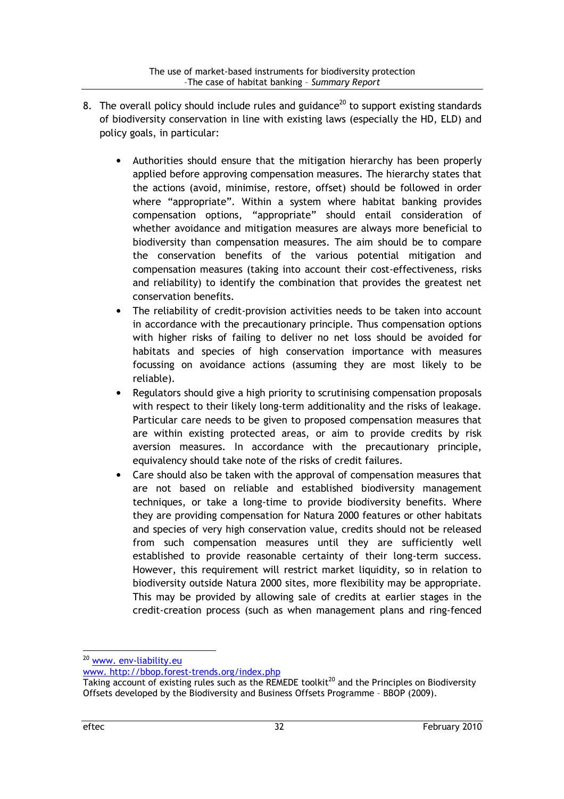- 8. The overall policy should include rules and guidance<sup>20</sup> to support existing standards of biodiversity conservation in line with existing laws (especially the HD, ELD) and policy goals, in particular:
	- Authorities should ensure that the mitigation hierarchy has been properly applied before approving compensation measures. The hierarchy states that the actions (avoid, minimise, restore, offset) should be followed in order where "appropriate". Within a system where habitat banking provides compensation options, "appropriate" should entail consideration of whether avoidance and mitigation measures are always more beneficial to biodiversity than compensation measures. The aim should be to compare the conservation benefits of the various potential mitigation and compensation measures (taking into account their cost-effectiveness, risks and reliability) to identify the combination that provides the greatest net conservation benefits.
	- The reliability of credit-provision activities needs to be taken into account in accordance with the precautionary principle. Thus compensation options with higher risks of failing to deliver no net loss should be avoided for habitats and species of high conservation importance with measures focussing on avoidance actions (assuming they are most likely to be reliable).
	- Regulators should give a high priority to scrutinising compensation proposals with respect to their likely long-term additionality and the risks of leakage. Particular care needs to be given to proposed compensation measures that are within existing protected areas, or aim to provide credits by risk aversion measures. In accordance with the precautionary principle, equivalency should take note of the risks of credit failures.
	- Care should also be taken with the approval of compensation measures that are not based on reliable and established biodiversity management techniques, or take a long-time to provide biodiversity benefits. Where they are providing compensation for Natura 2000 features or other habitats and species of very high conservation value, credits should not be released from such compensation measures until they are sufficiently well established to provide reasonable certainty of their long-term success. However, this requirement will restrict market liquidity, so in relation to biodiversity outside Natura 2000 sites, more flexibility may be appropriate. This may be provided by allowing sale of credits at earlier stages in the credit-creation process (such as when management plans and ring-fenced

<sup>&</sup>lt;sup>20</sup> www. env-liability.eu

www. http://bbop.forest-trends.org/index.php

Taking account of existing rules such as the REMEDE toolkit<sup>20</sup> and the Principles on Biodiversity Offsets developed by the Biodiversity and Business Offsets Programme – BBOP (2009).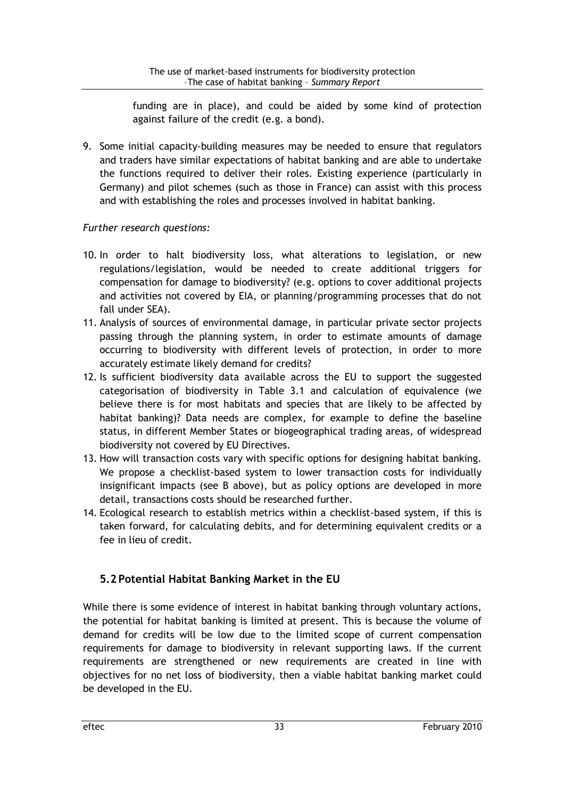funding are in place), and could be aided by some kind of protection against failure of the credit (e.g. a bond).

9. Some initial capacity-building measures may be needed to ensure that regulators and traders have similar expectations of habitat banking and are able to undertake the functions required to deliver their roles. Existing experience (particularly in Germany) and pilot schemes (such as those in France) can assist with this process and with establishing the roles and processes involved in habitat banking.

## Further research questions:

- 10. In order to halt biodiversity loss, what alterations to legislation, or new regulations/legislation, would be needed to create additional triggers for compensation for damage to biodiversity? (e.g. options to cover additional projects and activities not covered by EIA, or planning/programming processes that do not fall under SEA).
- 11. Analysis of sources of environmental damage, in particular private sector projects passing through the planning system, in order to estimate amounts of damage occurring to biodiversity with different levels of protection, in order to more accurately estimate likely demand for credits?
- 12. Is sufficient biodiversity data available across the EU to support the suggested categorisation of biodiversity in Table 3.1 and calculation of equivalence (we believe there is for most habitats and species that are likely to be affected by habitat banking)? Data needs are complex, for example to define the baseline status, in different Member States or biogeographical trading areas, of widespread biodiversity not covered by EU Directives.
- 13. How will transaction costs vary with specific options for designing habitat banking. We propose a checklist-based system to lower transaction costs for individually insignificant impacts (see B above), but as policy options are developed in more detail, transactions costs should be researched further.
- 14. Ecological research to establish metrics within a checklist-based system, if this is taken forward, for calculating debits, and for determining equivalent credits or a fee in lieu of credit.

## 5.2 Potential Habitat Banking Market in the EU

While there is some evidence of interest in habitat banking through voluntary actions, the potential for habitat banking is limited at present. This is because the volume of demand for credits will be low due to the limited scope of current compensation requirements for damage to biodiversity in relevant supporting laws. If the current requirements are strengthened or new requirements are created in line with objectives for no net loss of biodiversity, then a viable habitat banking market could be developed in the EU.